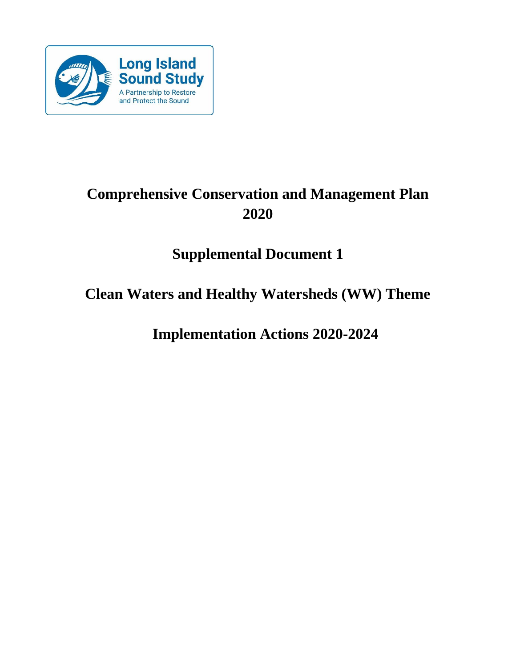

# **Comprehensive Conservation and Management Plan 2020**

# **Supplemental Document 1**

# **Clean Waters and Healthy Watersheds (WW) Theme**

**Implementation Actions 2020-2024**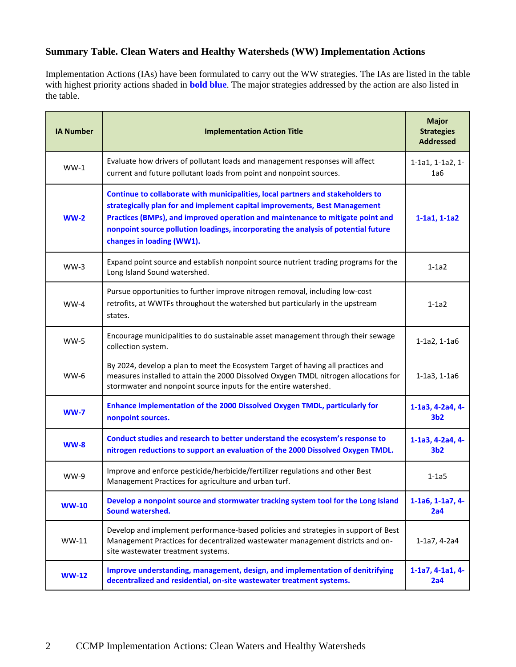# **Summary Table. Clean Waters and Healthy Watersheds (WW) Implementation Actions**

Implementation Actions (IAs) have been formulated to carry out the WW strategies. The IAs are listed in the table with highest priority actions shaded in **bold blue**. The major strategies addressed by the action are also listed in the table.

| <b>IA Number</b> | <b>Implementation Action Title</b>                                                                                                                                                                                                                                                                                                                                 | <b>Major</b><br><b>Strategies</b><br><b>Addressed</b> |
|------------------|--------------------------------------------------------------------------------------------------------------------------------------------------------------------------------------------------------------------------------------------------------------------------------------------------------------------------------------------------------------------|-------------------------------------------------------|
| $WW-1$           | Evaluate how drivers of pollutant loads and management responses will affect<br>current and future pollutant loads from point and nonpoint sources.                                                                                                                                                                                                                | 1-1a1, 1-1a2, 1-<br>1a6                               |
| $WW-2$           | Continue to collaborate with municipalities, local partners and stakeholders to<br>strategically plan for and implement capital improvements, Best Management<br>Practices (BMPs), and improved operation and maintenance to mitigate point and<br>nonpoint source pollution loadings, incorporating the analysis of potential future<br>changes in loading (WW1). | $1-1a1, 1-1a2$                                        |
| $WW-3$           | Expand point source and establish nonpoint source nutrient trading programs for the<br>Long Island Sound watershed.                                                                                                                                                                                                                                                | $1-1a2$                                               |
| $WW-4$           | Pursue opportunities to further improve nitrogen removal, including low-cost<br>retrofits, at WWTFs throughout the watershed but particularly in the upstream<br>states.                                                                                                                                                                                           | $1-1a2$                                               |
| $WW-5$           | Encourage municipalities to do sustainable asset management through their sewage<br>collection system.                                                                                                                                                                                                                                                             | 1-1a2, 1-1a6                                          |
| <b>WW-6</b>      | By 2024, develop a plan to meet the Ecosystem Target of having all practices and<br>measures installed to attain the 2000 Dissolved Oxygen TMDL nitrogen allocations for<br>stormwater and nonpoint source inputs for the entire watershed.                                                                                                                        | 1-1a3, 1-1a6                                          |
| $WW-7$           | Enhance implementation of the 2000 Dissolved Oxygen TMDL, particularly for<br>nonpoint sources.                                                                                                                                                                                                                                                                    | 1-1a3, 4-2a4, 4-<br>3 <sub>b2</sub>                   |
| $WW-8$           | Conduct studies and research to better understand the ecosystem's response to<br>nitrogen reductions to support an evaluation of the 2000 Dissolved Oxygen TMDL.                                                                                                                                                                                                   | 1-1a3, 4-2a4, 4-<br>3 <sub>b2</sub>                   |
| <b>WW-9</b>      | Improve and enforce pesticide/herbicide/fertilizer regulations and other Best<br>Management Practices for agriculture and urban turf.                                                                                                                                                                                                                              | $1-1a5$                                               |
| <b>WW-10</b>     | Develop a nonpoint source and stormwater tracking system tool for the Long Island<br>Sound watershed.                                                                                                                                                                                                                                                              | $1-1a6, 1-1a7, 4-$<br>2a4                             |
| WW-11            | Develop and implement performance-based policies and strategies in support of Best<br>Management Practices for decentralized wastewater management districts and on-<br>site wastewater treatment systems.                                                                                                                                                         | 1-1a7, 4-2a4                                          |
| <b>WW-12</b>     | Improve understanding, management, design, and implementation of denitrifying<br>decentralized and residential, on-site wastewater treatment systems.                                                                                                                                                                                                              | $1-1a7, 4-1a1, 4-$<br>2a4                             |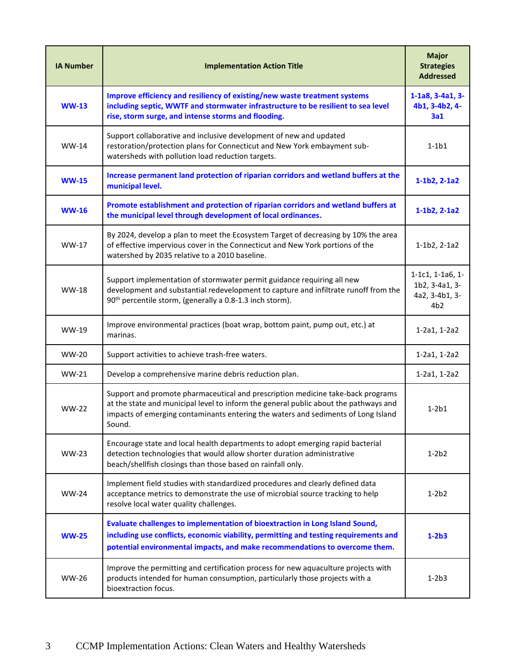| <b>IA Number</b> | <b>Implementation Action Title</b>                                                                                                                                                                                                                                     | <b>Major</b><br><b>Strategies</b><br><b>Addressed</b>       |
|------------------|------------------------------------------------------------------------------------------------------------------------------------------------------------------------------------------------------------------------------------------------------------------------|-------------------------------------------------------------|
| <b>WW-13</b>     | Improve efficiency and resiliency of existing/new waste treatment systems<br>including septic, WWTF and stormwater infrastructure to be resilient to sea level<br>rise, storm surge, and intense storms and flooding.                                                  | 1-1a8, 3-4a1, 3-<br>4b1, 3-4b2, 4-<br>3a1                   |
| $WW-14$          | Support collaborative and inclusive development of new and updated<br>restoration/protection plans for Connecticut and New York embayment sub-<br>watersheds with pollution load reduction targets.                                                                    | $1-1b1$                                                     |
| <b>WW-15</b>     | Increase permanent land protection of riparian corridors and wetland buffers at the<br>municipal level.                                                                                                                                                                | $1-1b2, 2-1a2$                                              |
| <b>WW-16</b>     | Promote establishment and protection of riparian corridors and wetland buffers at<br>the municipal level through development of local ordinances.                                                                                                                      | $1-1b2, 2-1a2$                                              |
| WW-17            | By 2024, develop a plan to meet the Ecosystem Target of decreasing by 10% the area<br>of effective impervious cover in the Connecticut and New York portions of the<br>watershed by 2035 relative to a 2010 baseline.                                                  | $1-1b2, 2-1a2$                                              |
| <b>WW-18</b>     | Support implementation of stormwater permit guidance requiring all new<br>development and substantial redevelopment to capture and infiltrate runoff from the<br>90 <sup>th</sup> percentile storm, (generally a 0.8-1.3 inch storm).                                  | 1-1c1, 1-1a6, 1-<br>1b2, 3-4a1, 3-<br>4a2, 3-4b1, 3-<br>4b2 |
| WW-19            | Improve environmental practices (boat wrap, bottom paint, pump out, etc.) at<br>marinas.                                                                                                                                                                               | 1-2a1, 1-2a2                                                |
| <b>WW-20</b>     | Support activities to achieve trash-free waters.                                                                                                                                                                                                                       | 1-2a1, 1-2a2                                                |
| WW-21            | Develop a comprehensive marine debris reduction plan.                                                                                                                                                                                                                  | 1-2a1, 1-2a2                                                |
| <b>WW-22</b>     | Support and promote pharmaceutical and prescription medicine take-back programs<br>at the state and municipal level to inform the general public about the pathways and<br>impacts of emerging contaminants entering the waters and sediments of Long Island<br>Sound. | $1-2b1$                                                     |
| <b>WW-23</b>     | Encourage state and local health departments to adopt emerging rapid bacterial<br>detection technologies that would allow shorter duration administrative<br>beach/shellfish closings than those based on rainfall only.                                               | $1-2b2$                                                     |
| <b>WW-24</b>     | Implement field studies with standardized procedures and clearly defined data<br>acceptance metrics to demonstrate the use of microbial source tracking to help<br>resolve local water quality challenges.                                                             | $1-2b2$                                                     |
| <b>WW-25</b>     | Evaluate challenges to implementation of bioextraction in Long Island Sound,<br>including use conflicts, economic viability, permitting and testing requirements and<br>potential environmental impacts, and make recommendations to overcome them.                    | $1-2b3$                                                     |
| <b>WW-26</b>     | Improve the permitting and certification process for new aquaculture projects with<br>products intended for human consumption, particularly those projects with a<br>bioextraction focus.                                                                              | $1-2b3$                                                     |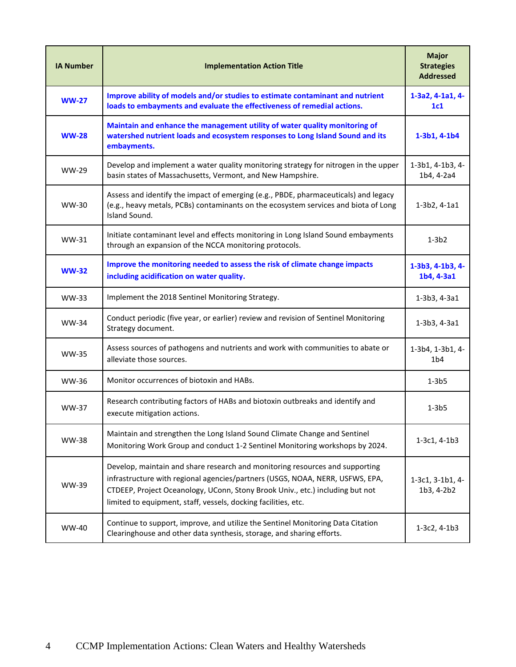| <b>IA Number</b> | <b>Implementation Action Title</b>                                                                                                                                                                                                                                                                               | <b>Major</b><br><b>Strategies</b><br><b>Addressed</b> |
|------------------|------------------------------------------------------------------------------------------------------------------------------------------------------------------------------------------------------------------------------------------------------------------------------------------------------------------|-------------------------------------------------------|
| $WW-27$          | Improve ability of models and/or studies to estimate contaminant and nutrient<br>loads to embayments and evaluate the effectiveness of remedial actions.                                                                                                                                                         | 1-3a2, 4-1a1, 4-<br>1c1                               |
| <b>WW-28</b>     | Maintain and enhance the management utility of water quality monitoring of<br>watershed nutrient loads and ecosystem responses to Long Island Sound and its<br>embayments.                                                                                                                                       | $1-3b1, 4-1b4$                                        |
| <b>WW-29</b>     | Develop and implement a water quality monitoring strategy for nitrogen in the upper<br>basin states of Massachusetts, Vermont, and New Hampshire.                                                                                                                                                                | 1-3b1, 4-1b3, 4-<br>1b4, 4-2a4                        |
| WW-30            | Assess and identify the impact of emerging (e.g., PBDE, pharmaceuticals) and legacy<br>(e.g., heavy metals, PCBs) contaminants on the ecosystem services and biota of Long<br>Island Sound.                                                                                                                      | $1-3b2, 4-1a1$                                        |
| $WW-31$          | Initiate contaminant level and effects monitoring in Long Island Sound embayments<br>through an expansion of the NCCA monitoring protocols.                                                                                                                                                                      | $1-3b2$                                               |
| $WW-32$          | Improve the monitoring needed to assess the risk of climate change impacts<br>including acidification on water quality.                                                                                                                                                                                          | 1-3b3, 4-1b3, 4-<br>1b4, 4-3a1                        |
| WW-33            | Implement the 2018 Sentinel Monitoring Strategy.                                                                                                                                                                                                                                                                 | $1-3b3, 4-3a1$                                        |
| <b>WW-34</b>     | Conduct periodic (five year, or earlier) review and revision of Sentinel Monitoring<br>Strategy document.                                                                                                                                                                                                        | 1-3b3, 4-3a1                                          |
| <b>WW-35</b>     | Assess sources of pathogens and nutrients and work with communities to abate or<br>alleviate those sources.                                                                                                                                                                                                      | 1-3b4, 1-3b1, 4-<br>1 <sub>b4</sub>                   |
| WW-36            | Monitor occurrences of biotoxin and HABs.                                                                                                                                                                                                                                                                        | 1-3b5                                                 |
| <b>WW-37</b>     | Research contributing factors of HABs and biotoxin outbreaks and identify and<br>execute mitigation actions.                                                                                                                                                                                                     | 1-3b5                                                 |
| <b>WW-38</b>     | Maintain and strengthen the Long Island Sound Climate Change and Sentinel<br>Monitoring Work Group and conduct 1-2 Sentinel Monitoring workshops by 2024.                                                                                                                                                        | $1-3c1, 4-1b3$                                        |
| WW-39            | Develop, maintain and share research and monitoring resources and supporting<br>infrastructure with regional agencies/partners (USGS, NOAA, NERR, USFWS, EPA,<br>CTDEEP, Project Oceanology, UConn, Stony Brook Univ., etc.) including but not<br>limited to equipment, staff, vessels, docking facilities, etc. | 1-3c1, 3-1b1, 4-<br>1b3, 4-2b2                        |
| <b>WW-40</b>     | Continue to support, improve, and utilize the Sentinel Monitoring Data Citation<br>Clearinghouse and other data synthesis, storage, and sharing efforts.                                                                                                                                                         | $1-3c2, 4-1b3$                                        |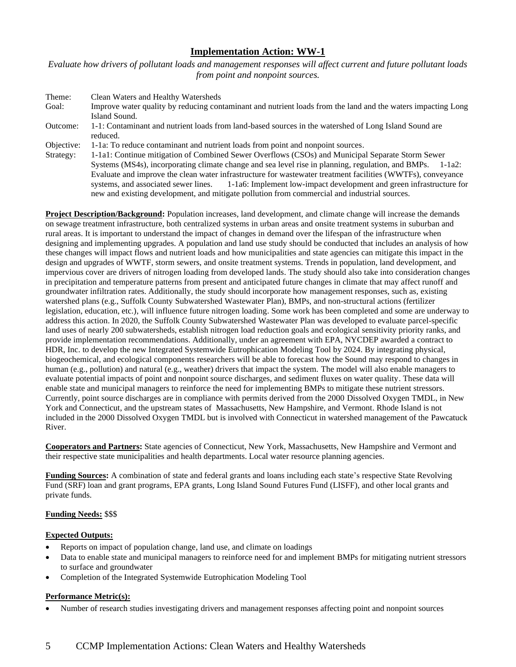*Evaluate how drivers of pollutant loads and management responses will affect current and future pollutant loads from point and nonpoint sources.*

| Theme:     | Clean Waters and Healthy Watersheds                                                                          |
|------------|--------------------------------------------------------------------------------------------------------------|
| Goal:      | Improve water quality by reducing contaminant and nutrient loads from the land and the waters impacting Long |
|            | Island Sound.                                                                                                |
| Outcome:   | 1-1: Contaminant and nutrient loads from land-based sources in the watershed of Long Island Sound are        |
|            | reduced.                                                                                                     |
| Objective: | 1-1a: To reduce contaminant and nutrient loads from point and nonpoint sources.                              |
| Strategy:  | 1-1a1: Continue mitigation of Combined Sewer Overflows (CSOs) and Municipal Separate Storm Sewer             |
|            | Systems (MS4s), incorporating climate change and sea level rise in planning, regulation, and BMPs. 1-1a2:    |
|            | Evaluate and improve the clean water infrastructure for wastewater treatment facilities (WWTFs), conveyance  |
|            | systems, and associated sewer lines. 1-1a6: Implement low-impact development and green infrastructure for    |
|            | new and existing development, and mitigate pollution from commercial and industrial sources.                 |

**Project Description/Background:** Population increases, land development, and climate change will increase the demands on sewage treatment infrastructure, both centralized systems in urban areas and onsite treatment systems in suburban and rural areas. It is important to understand the impact of changes in demand over the lifespan of the infrastructure when designing and implementing upgrades. A population and land use study should be conducted that includes an analysis of how these changes will impact flows and nutrient loads and how municipalities and state agencies can mitigate this impact in the design and upgrades of WWTF, storm sewers, and onsite treatment systems. Trends in population, land development, and impervious cover are drivers of nitrogen loading from developed lands. The study should also take into consideration changes in precipitation and temperature patterns from present and anticipated future changes in climate that may affect runoff and groundwater infiltration rates. Additionally, the study should incorporate how management responses, such as, existing watershed plans (e.g., Suffolk County Subwatershed Wastewater Plan), BMPs, and non-structural actions (fertilizer legislation, education, etc.), will influence future nitrogen loading. Some work has been completed and some are underway to address this action. In 2020, the Suffolk County Subwatershed Wastewater Plan was developed to evaluate parcel-specific land uses of nearly 200 subwatersheds, establish nitrogen load reduction goals and ecological sensitivity priority ranks, and provide implementation recommendations. Additionally, under an agreement with EPA, NYCDEP awarded a contract to HDR, Inc. to develop the new Integrated Systemwide Eutrophication Modeling Tool by 2024. By integrating physical, biogeochemical, and ecological components researchers will be able to forecast how the Sound may respond to changes in human (e.g., pollution) and natural (e.g., weather) drivers that impact the system. The model will also enable managers to evaluate potential impacts of point and nonpoint source discharges, and sediment fluxes on water quality. These data will enable state and municipal managers to reinforce the need for implementing BMPs to mitigate these nutrient stressors. Currently, point source discharges are in compliance with permits derived from the 2000 Dissolved Oxygen TMDL, in New York and Connecticut, and the upstream states of Massachusetts, New Hampshire, and Vermont. Rhode Island is not included in the 2000 Dissolved Oxygen TMDL but is involved with Connecticut in watershed management of the Pawcatuck River.

**Cooperators and Partners:** State agencies of Connecticut, New York, Massachusetts, New Hampshire and Vermont and their respective state municipalities and health departments. Local water resource planning agencies.

**Funding Sources:** A combination of state and federal grants and loans including each state's respective State Revolving Fund (SRF) loan and grant programs, EPA grants, Long Island Sound Futures Fund (LISFF), and other local grants and private funds.

# **Funding Needs:** \$\$\$

# **Expected Outputs:**

- Reports on impact of population change, land use, and climate on loadings
- Data to enable state and municipal managers to reinforce need for and implement BMPs for mitigating nutrient stressors to surface and groundwater
- Completion of the Integrated Systemwide Eutrophication Modeling Tool

### **Performance Metric(s):**

• Number of research studies investigating drivers and management responses affecting point and nonpoint sources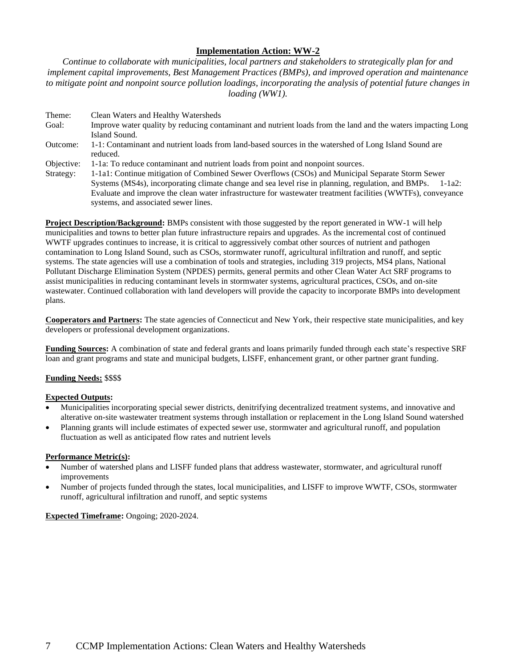*Continue to collaborate with municipalities, local partners and stakeholders to strategically plan for and implement capital improvements, Best Management Practices (BMPs), and improved operation and maintenance to mitigate point and nonpoint source pollution loadings, incorporating the analysis of potential future changes in loading (WW1).*

Theme: Clean Waters and Healthy Watersheds Goal: Improve water quality by reducing contaminant and nutrient loads from the land and the waters impacting Long Island Sound. Outcome: 1-1: Contaminant and nutrient loads from land-based sources in the watershed of Long Island Sound are reduced. Objective: 1-1a: To reduce contaminant and nutrient loads from point and nonpoint sources. Strategy: 1-1a1: Continue mitigation of Combined Sewer Overflows (CSOs) and Municipal Separate Storm Sewer Systems (MS4s), incorporating climate change and sea level rise in planning, regulation, and BMPs. 1-1a2: Evaluate and improve the clean water infrastructure for wastewater treatment facilities (WWTFs), conveyance

**Project Description/Background:** BMPs consistent with those suggested by the report generated in WW-1 will help municipalities and towns to better plan future infrastructure repairs and upgrades. As the incremental cost of continued WWTF upgrades continues to increase, it is critical to aggressively combat other sources of nutrient and pathogen contamination to Long Island Sound, such as CSOs, stormwater runoff, agricultural infiltration and runoff, and septic systems. The state agencies will use a combination of tools and strategies, including 319 projects, MS4 plans, National Pollutant Discharge Elimination System (NPDES) permits, general permits and other Clean Water Act SRF programs to assist municipalities in reducing contaminant levels in stormwater systems, agricultural practices, CSOs, and on-site wastewater. Continued collaboration with land developers will provide the capacity to incorporate BMPs into development plans.

**Cooperators and Partners:** The state agencies of Connecticut and New York, their respective state municipalities, and key developers or professional development organizations.

**Funding Sources:** A combination of state and federal grants and loans primarily funded through each state's respective SRF loan and grant programs and state and municipal budgets, LISFF, enhancement grant, or other partner grant funding.

# **Funding Needs:** \$\$\$\$

# **Expected Outputs:**

- Municipalities incorporating special sewer districts, denitrifying decentralized treatment systems, and innovative and alterative on-site wastewater treatment systems through installation or replacement in the Long Island Sound watershed
- Planning grants will include estimates of expected sewer use, stormwater and agricultural runoff, and population fluctuation as well as anticipated flow rates and nutrient levels

# **Performance Metric(s):**

- Number of watershed plans and LISFF funded plans that address wastewater, stormwater, and agricultural runoff improvements
- Number of projects funded through the states, local municipalities, and LISFF to improve WWTF, CSOs, stormwater runoff, agricultural infiltration and runoff, and septic systems

# **Expected Timeframe:** Ongoing; 2020-2024.

systems, and associated sewer lines.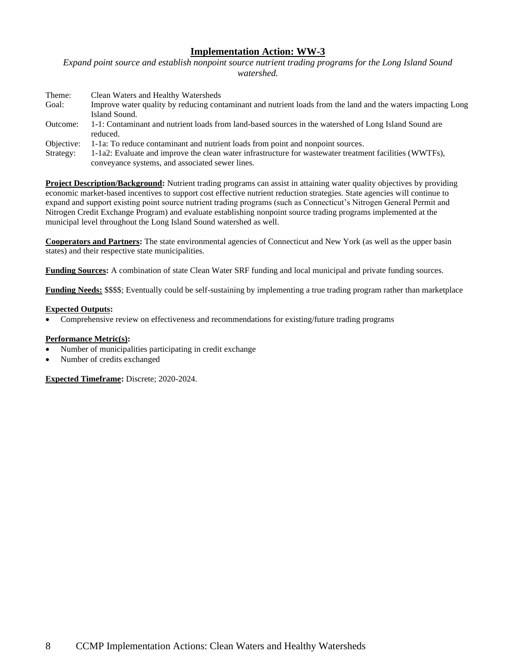*Expand point source and establish nonpoint source nutrient trading programs for the Long Island Sound watershed.*

| Clean Waters and Healthy Watersheds                                                                                                                        |
|------------------------------------------------------------------------------------------------------------------------------------------------------------|
| Improve water quality by reducing contaminant and nutrient loads from the land and the waters impacting Long                                               |
| Island Sound.                                                                                                                                              |
| 1-1: Contaminant and nutrient loads from land-based sources in the watershed of Long Island Sound are<br>reduced.                                          |
| 1-1a: To reduce contaminant and nutrient loads from point and nonpoint sources.                                                                            |
| 1-1a2: Evaluate and improve the clean water infrastructure for wastewater treatment facilities (WWTFs),<br>conveyance systems, and associated sewer lines. |
|                                                                                                                                                            |

**Project Description/Background:** Nutrient trading programs can assist in attaining water quality objectives by providing economic market-based incentives to support cost effective nutrient reduction strategies. State agencies will continue to expand and support existing point source nutrient trading programs (such as Connecticut's Nitrogen General Permit and Nitrogen Credit Exchange Program) and evaluate establishing nonpoint source trading programs implemented at the municipal level throughout the Long Island Sound watershed as well.

**Cooperators and Partners:** The state environmental agencies of Connecticut and New York (as well as the upper basin states) and their respective state municipalities.

**Funding Sources:** A combination of state Clean Water SRF funding and local municipal and private funding sources.

**Funding Needs:** \$\$\$\$; Eventually could be self-sustaining by implementing a true trading program rather than marketplace

### **Expected Outputs:**

• Comprehensive review on effectiveness and recommendations for existing/future trading programs

# **Performance Metric(s):**

- Number of municipalities participating in credit exchange
- Number of credits exchanged

**Expected Timeframe:** Discrete; 2020-2024.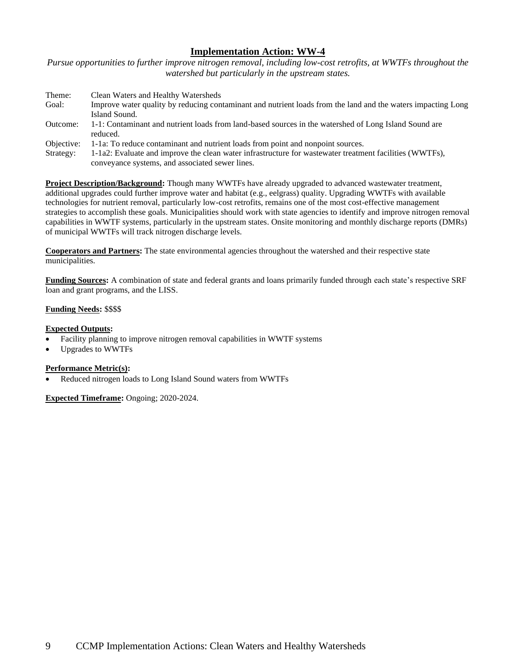*Pursue opportunities to further improve nitrogen removal, including low-cost retrofits, at WWTFs throughout the watershed but particularly in the upstream states.*

| Clean Waters and Healthy Watersheds                                                                                                                        |
|------------------------------------------------------------------------------------------------------------------------------------------------------------|
| Improve water quality by reducing contaminant and nutrient loads from the land and the waters impacting Long                                               |
| Island Sound.                                                                                                                                              |
| 1-1: Contaminant and nutrient loads from land-based sources in the watershed of Long Island Sound are<br>reduced.                                          |
|                                                                                                                                                            |
| 1-1a: To reduce contaminant and nutrient loads from point and nonpoint sources.                                                                            |
| 1-1a2: Evaluate and improve the clean water infrastructure for wastewater treatment facilities (WWTFs),<br>conveyance systems, and associated sewer lines. |
|                                                                                                                                                            |

**Project Description/Background:** Though many WWTFs have already upgraded to advanced wastewater treatment, additional upgrades could further improve water and habitat (e.g., eelgrass) quality. Upgrading WWTFs with available technologies for nutrient removal, particularly low-cost retrofits, remains one of the most cost-effective management strategies to accomplish these goals. Municipalities should work with state agencies to identify and improve nitrogen removal capabilities in WWTF systems, particularly in the upstream states. Onsite monitoring and monthly discharge reports (DMRs) of municipal WWTFs will track nitrogen discharge levels.

**Cooperators and Partners:** The state environmental agencies throughout the watershed and their respective state municipalities.

**Funding Sources:** A combination of state and federal grants and loans primarily funded through each state's respective SRF loan and grant programs, and the LISS.

### **Funding Needs:** \$\$\$\$

### **Expected Outputs:**

- Facility planning to improve nitrogen removal capabilities in WWTF systems
- Upgrades to WWTFs

### **Performance Metric(s):**

• Reduced nitrogen loads to Long Island Sound waters from WWTFs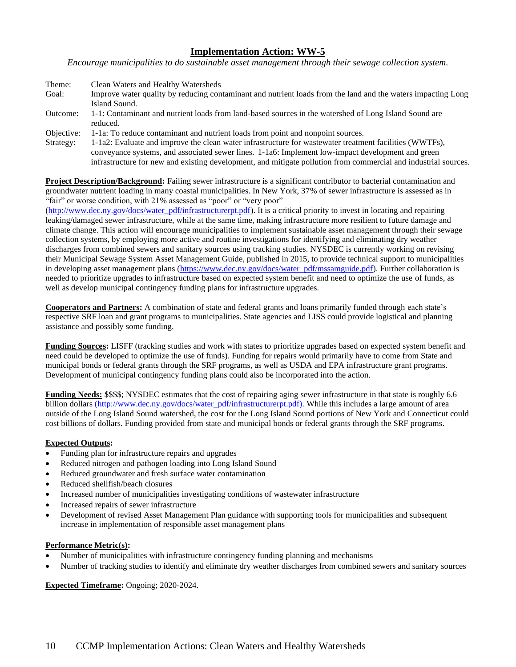*Encourage municipalities to do sustainable asset management through their sewage collection system.*

| Theme:   | Clean Waters and Healthy Watersheds                                                                          |
|----------|--------------------------------------------------------------------------------------------------------------|
| Goal:    | Improve water quality by reducing contaminant and nutrient loads from the land and the waters impacting Long |
|          | Island Sound.                                                                                                |
| Outcome: | 1-1: Contaminant and nutrient loads from land-based sources in the watershed of Long Island Sound are        |
|          | reduced.                                                                                                     |
|          | Objective: 1-1a: To reduce contaminant and nutrient loads from point and nonpoint sources.                   |
|          |                                                                                                              |

Strategy: 1-1a2: Evaluate and improve the clean water infrastructure for wastewater treatment facilities (WWTFs), conveyance systems, and associated sewer lines. 1-1a6: Implement low-impact development and green infrastructure for new and existing development, and mitigate pollution from commercial and industrial sources.

**Project Description/Background:** Failing sewer infrastructure is a significant contributor to bacterial contamination and groundwater nutrient loading in many coastal municipalities. In New York, 37% of sewer infrastructure is assessed as in "fair" or worse condition, with 21% assessed as "poor" or "very poor"

[\(http://www.dec.ny.gov/docs/water\\_pdf/infrastructurerpt.pdf\)](http://www.dec.ny.gov/docs/water_pdf/infrastructurerpt.pdf). It is a critical priority to invest in locating and repairing leaking/damaged sewer infrastructure, while at the same time, making infrastructure more resilient to future damage and climate change. This action will encourage municipalities to implement sustainable asset management through their sewage collection systems, by employing more active and routine investigations for identifying and eliminating dry weather discharges from combined sewers and sanitary sources using tracking studies. NYSDEC is currently working on revising their Municipal Sewage System Asset Management Guide, published in 2015, to provide technical support to municipalities in developing asset management plans [\(https://www.dec.ny.gov/docs/water\\_pdf/mssamguide.pdf\)](https://www.dec.ny.gov/docs/water_pdf/mssamguide.pdf). Further collaboration is needed to prioritize upgrades to infrastructure based on expected system benefit and need to optimize the use of funds, as well as develop municipal contingency funding plans for infrastructure upgrades.

**Cooperators and Partners:** A combination of state and federal grants and loans primarily funded through each state's respective SRF loan and grant programs to municipalities. State agencies and LISS could provide logistical and planning assistance and possibly some funding.

**Funding Sources:** LISFF (tracking studies and work with states to prioritize upgrades based on expected system benefit and need could be developed to optimize the use of funds). Funding for repairs would primarily have to come from State and municipal bonds or federal grants through the SRF programs, as well as USDA and EPA infrastructure grant programs. Development of municipal contingency funding plans could also be incorporated into the action.

**Funding Needs:** \$\$\$\$; NYSDEC estimates that the cost of repairing aging sewer infrastructure in that state is roughly 6.6 billion dollars (http://www.dec.ny.gov/docs/water\_pdf/infrastructurerpt.pdf). While this includes a large amount of area outside of the Long Island Sound watershed, the cost for the Long Island Sound portions of New York and Connecticut could cost billions of dollars. Funding provided from state and municipal bonds or federal grants through the SRF programs.

# **Expected Outputs:**

- Funding plan for infrastructure repairs and upgrades
- Reduced nitrogen and pathogen loading into Long Island Sound
- Reduced groundwater and fresh surface water contamination
- Reduced shellfish/beach closures
- Increased number of municipalities investigating conditions of wastewater infrastructure
- Increased repairs of sewer infrastructure
- Development of revised Asset Management Plan guidance with supporting tools for municipalities and subsequent increase in implementation of responsible asset management plans

### **Performance Metric(s):**

- Number of municipalities with infrastructure contingency funding planning and mechanisms
- Number of tracking studies to identify and eliminate dry weather discharges from combined sewers and sanitary sources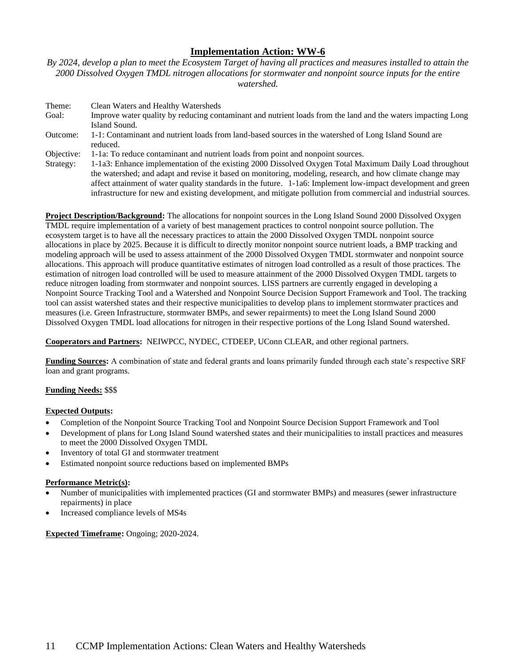*By 2024, develop a plan to meet the Ecosystem Target of having all practices and measures installed to attain the 2000 Dissolved Oxygen TMDL nitrogen allocations for stormwater and nonpoint source inputs for the entire watershed.*

| Theme:     | Clean Waters and Healthy Watersheds                                                                                                                                                                                                                                                                                                                                                                                                                       |
|------------|-----------------------------------------------------------------------------------------------------------------------------------------------------------------------------------------------------------------------------------------------------------------------------------------------------------------------------------------------------------------------------------------------------------------------------------------------------------|
| Goal:      | Improve water quality by reducing contaminant and nutrient loads from the land and the waters impacting Long<br>Island Sound.                                                                                                                                                                                                                                                                                                                             |
| Outcome:   | 1-1: Contaminant and nutrient loads from land-based sources in the watershed of Long Island Sound are<br>reduced.                                                                                                                                                                                                                                                                                                                                         |
| Objective: | 1-1a: To reduce contaminant and nutrient loads from point and nonpoint sources.                                                                                                                                                                                                                                                                                                                                                                           |
| Strategy:  | 1-1a3: Enhance implementation of the existing 2000 Dissolved Oxygen Total Maximum Daily Load throughout<br>the watershed; and adapt and revise it based on monitoring, modeling, research, and how climate change may<br>affect attainment of water quality standards in the future. 1-1a6: Implement low-impact development and green<br>infrastructure for new and existing development, and mitigate pollution from commercial and industrial sources. |

**Project Description/Background:** The allocations for nonpoint sources in the Long Island Sound 2000 Dissolved Oxygen TMDL require implementation of a variety of best management practices to control nonpoint source pollution. The ecosystem target is to have all the necessary practices to attain the 2000 Dissolved Oxygen TMDL nonpoint source allocations in place by 2025. Because it is difficult to directly monitor nonpoint source nutrient loads, a BMP tracking and modeling approach will be used to assess attainment of the 2000 Dissolved Oxygen TMDL stormwater and nonpoint source allocations. This approach will produce quantitative estimates of nitrogen load controlled as a result of those practices. The estimation of nitrogen load controlled will be used to measure attainment of the 2000 Dissolved Oxygen TMDL targets to reduce nitrogen loading from stormwater and nonpoint sources. LISS partners are currently engaged in developing a Nonpoint Source Tracking Tool and a Watershed and Nonpoint Source Decision Support Framework and Tool. The tracking tool can assist watershed states and their respective municipalities to develop plans to implement stormwater practices and measures (i.e. Green Infrastructure, stormwater BMPs, and sewer repairments) to meet the Long Island Sound 2000 Dissolved Oxygen TMDL load allocations for nitrogen in their respective portions of the Long Island Sound watershed.

**Cooperators and Partners:** NEIWPCC, NYDEC, CTDEEP, UConn CLEAR, and other regional partners.

**Funding Sources:** A combination of state and federal grants and loans primarily funded through each state's respective SRF loan and grant programs.

### **Funding Needs:** \$\$\$

### **Expected Outputs:**

- Completion of the Nonpoint Source Tracking Tool and Nonpoint Source Decision Support Framework and Tool
- Development of plans for Long Island Sound watershed states and their municipalities to install practices and measures to meet the 2000 Dissolved Oxygen TMDL
- Inventory of total GI and stormwater treatment
- Estimated nonpoint source reductions based on implemented BMPs

### **Performance Metric(s):**

- Number of municipalities with implemented practices (GI and stormwater BMPs) and measures (sewer infrastructure repairments) in place
- Increased compliance levels of MS4s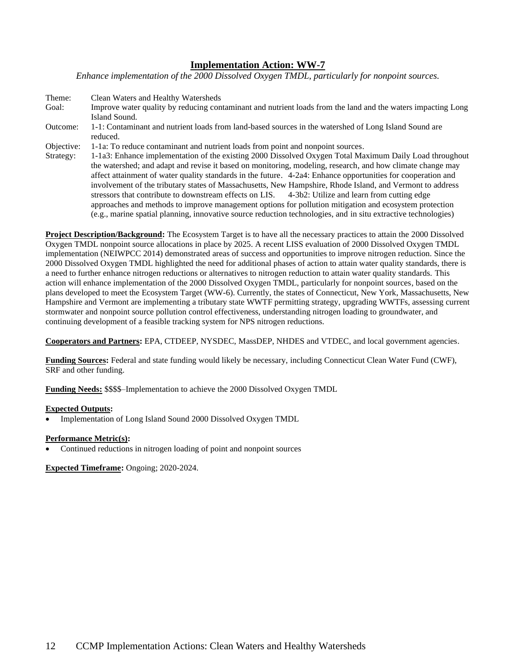*Enhance implementation of the 2000 Dissolved Oxygen TMDL, particularly for nonpoint sources.*

| Theme:     | Clean Waters and Healthy Watersheds                                                                            |
|------------|----------------------------------------------------------------------------------------------------------------|
| Goal:      | Improve water quality by reducing contaminant and nutrient loads from the land and the waters impacting Long   |
|            | Island Sound.                                                                                                  |
| Outcome:   | 1-1: Contaminant and nutrient loads from land-based sources in the watershed of Long Island Sound are          |
|            | reduced.                                                                                                       |
| Objective: | 1-1a: To reduce contaminant and nutrient loads from point and nonpoint sources.                                |
| Strategy:  | 1-1a3: Enhance implementation of the existing 2000 Dissolved Oxygen Total Maximum Daily Load throughout        |
|            | the watershed; and adapt and revise it based on monitoring, modeling, research, and how climate change may     |
|            | affect attainment of water quality standards in the future. 4-2a4: Enhance opportunities for cooperation and   |
|            | involvement of the tributary states of Massachusetts, New Hampshire, Rhode Island, and Vermont to address      |
|            | stressors that contribute to downstream effects on LIS. 4-3b2: Utilize and learn from cutting edge             |
|            | approaches and methods to improve management options for pollution mitigation and ecosystem protection         |
|            | (e.g., marine spatial planning, innovative source reduction technologies, and in situ extractive technologies) |

**Project Description/Background:** The Ecosystem Target is to have all the necessary practices to attain the 2000 Dissolved Oxygen TMDL nonpoint source allocations in place by 2025. A recent LISS evaluation of 2000 Dissolved Oxygen TMDL implementation (NEIWPCC 2014) demonstrated areas of success and opportunities to improve nitrogen reduction. Since the 2000 Dissolved Oxygen TMDL highlighted the need for additional phases of action to attain water quality standards, there is a need to further enhance nitrogen reductions or alternatives to nitrogen reduction to attain water quality standards. This action will enhance implementation of the 2000 Dissolved Oxygen TMDL, particularly for nonpoint sources, based on the plans developed to meet the Ecosystem Target (WW-6). Currently, the states of Connecticut, New York, Massachusetts, New Hampshire and Vermont are implementing a tributary state WWTF permitting strategy, upgrading WWTFs, assessing current stormwater and nonpoint source pollution control effectiveness, understanding nitrogen loading to groundwater, and continuing development of a feasible tracking system for NPS nitrogen reductions.

**Cooperators and Partners:** EPA, CTDEEP, NYSDEC, MassDEP, NHDES and VTDEC, and local government agencies.

**Funding Sources:** Federal and state funding would likely be necessary, including Connecticut Clean Water Fund (CWF), SRF and other funding.

**Funding Needs:** \$\$\$\$–Implementation to achieve the 2000 Dissolved Oxygen TMDL

### **Expected Outputs:**

• Implementation of Long Island Sound 2000 Dissolved Oxygen TMDL

### **Performance Metric(s):**

• Continued reductions in nitrogen loading of point and nonpoint sources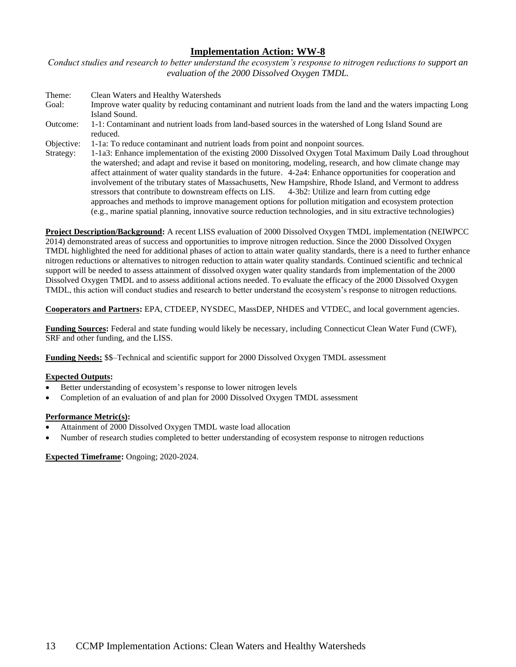*Conduct studies and research to better understand the ecosystem's response to nitrogen reductions to support an evaluation of the 2000 Dissolved Oxygen TMDL.*

| Theme:     | Clean Waters and Healthy Watersheds                                                                            |
|------------|----------------------------------------------------------------------------------------------------------------|
| Goal:      | Improve water quality by reducing contaminant and nutrient loads from the land and the waters impacting Long   |
|            | Island Sound.                                                                                                  |
| Outcome:   | 1-1: Contaminant and nutrient loads from land-based sources in the watershed of Long Island Sound are          |
|            | reduced.                                                                                                       |
| Objective: | 1-1a: To reduce contaminant and nutrient loads from point and nonpoint sources.                                |
| Strategy:  | 1-1a3: Enhance implementation of the existing 2000 Dissolved Oxygen Total Maximum Daily Load throughout        |
|            | the watershed; and adapt and revise it based on monitoring, modeling, research, and how climate change may     |
|            | affect attainment of water quality standards in the future. 4-2a4: Enhance opportunities for cooperation and   |
|            | involvement of the tributary states of Massachusetts, New Hampshire, Rhode Island, and Vermont to address      |
|            | stressors that contribute to downstream effects on LIS. 4-3b2: Utilize and learn from cutting edge             |
|            | approaches and methods to improve management options for pollution mitigation and ecosystem protection         |
|            | (e.g., marine spatial planning, innovative source reduction technologies, and in situ extractive technologies) |

**Project Description/Background:** A recent LISS evaluation of 2000 Dissolved Oxygen TMDL implementation (NEIWPCC 2014) demonstrated areas of success and opportunities to improve nitrogen reduction. Since the 2000 Dissolved Oxygen TMDL highlighted the need for additional phases of action to attain water quality standards, there is a need to further enhance nitrogen reductions or alternatives to nitrogen reduction to attain water quality standards. Continued scientific and technical support will be needed to assess attainment of dissolved oxygen water quality standards from implementation of the 2000 Dissolved Oxygen TMDL and to assess additional actions needed. To evaluate the efficacy of the 2000 Dissolved Oxygen TMDL, this action will conduct studies and research to better understand the ecosystem's response to nitrogen reductions.

**Cooperators and Partners:** EPA, CTDEEP, NYSDEC, MassDEP, NHDES and VTDEC, and local government agencies.

**Funding Sources:** Federal and state funding would likely be necessary, including Connecticut Clean Water Fund (CWF), SRF and other funding, and the LISS.

**Funding Needs:** \$\$–Technical and scientific support for 2000 Dissolved Oxygen TMDL assessment

# **Expected Outputs:**

- Better understanding of ecosystem's response to lower nitrogen levels
- Completion of an evaluation of and plan for 2000 Dissolved Oxygen TMDL assessment

# **Performance Metric(s):**

- Attainment of 2000 Dissolved Oxygen TMDL waste load allocation
- Number of research studies completed to better understanding of ecosystem response to nitrogen reductions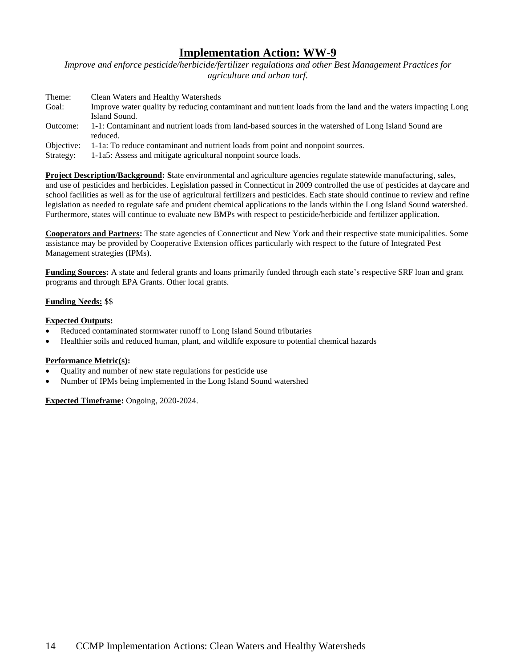*Improve and enforce pesticide/herbicide/fertilizer regulations and other Best Management Practices for agriculture and urban turf.*

| Theme:     | Clean Waters and Healthy Watersheds                                                                               |
|------------|-------------------------------------------------------------------------------------------------------------------|
| Goal:      | Improve water quality by reducing contaminant and nutrient loads from the land and the waters impacting Long      |
|            | Island Sound.                                                                                                     |
| Outcome:   | 1-1: Contaminant and nutrient loads from land-based sources in the watershed of Long Island Sound are<br>reduced. |
| Objective: | 1-1a: To reduce contaminant and nutrient loads from point and nonpoint sources.                                   |
| Strategy:  | 1-1a5: Assess and mitigate agricultural nonpoint source loads.                                                    |

**Project Description/Background: S**tate environmental and agriculture agencies regulate statewide manufacturing, sales, and use of pesticides and herbicides. Legislation passed in Connecticut in 2009 controlled the use of pesticides at daycare and school facilities as well as for the use of agricultural fertilizers and pesticides. Each state should continue to review and refine legislation as needed to regulate safe and prudent chemical applications to the lands within the Long Island Sound watershed. Furthermore, states will continue to evaluate new BMPs with respect to pesticide/herbicide and fertilizer application.

**Cooperators and Partners:** The state agencies of Connecticut and New York and their respective state municipalities. Some assistance may be provided by Cooperative Extension offices particularly with respect to the future of Integrated Pest Management strategies (IPMs).

**Funding Sources:** A state and federal grants and loans primarily funded through each state's respective SRF loan and grant programs and through EPA Grants. Other local grants.

# **Funding Needs:** \$\$

# **Expected Outputs:**

- Reduced contaminated stormwater runoff to Long Island Sound tributaries
- Healthier soils and reduced human, plant, and wildlife exposure to potential chemical hazards

# **Performance Metric(s):**

- Quality and number of new state regulations for pesticide use
- Number of IPMs being implemented in the Long Island Sound watershed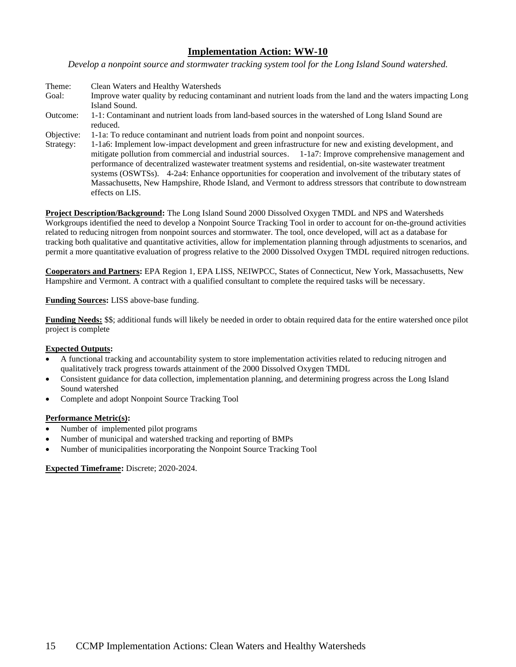*Develop a nonpoint source and stormwater tracking system tool for the Long Island Sound watershed.*

- Theme: Clean Waters and Healthy Watersheds Goal: Improve water quality by reducing contaminant and nutrient loads from the land and the waters impacting Long Island Sound. Outcome: 1-1: Contaminant and nutrient loads from land-based sources in the watershed of Long Island Sound are reduced. Objective: 1-1a: To reduce contaminant and nutrient loads from point and nonpoint sources.
- Strategy: 1-1a6: Implement low-impact development and green infrastructure for new and existing development, and mitigate pollution from commercial and industrial sources. 1-1a7: Improve comprehensive management and performance of decentralized wastewater treatment systems and residential, on-site wastewater treatment systems (OSWTSs). 4-2a4: Enhance opportunities for cooperation and involvement of the tributary states of Massachusetts, New Hampshire, Rhode Island, and Vermont to address stressors that contribute to downstream effects on LIS.

**Project Description/Background:** The Long Island Sound 2000 Dissolved Oxygen TMDL and NPS and Watersheds Workgroups identified the need to develop a Nonpoint Source Tracking Tool in order to account for on-the-ground activities related to reducing nitrogen from nonpoint sources and stormwater. The tool, once developed, will act as a database for tracking both qualitative and quantitative activities, allow for implementation planning through adjustments to scenarios, and permit a more quantitative evaluation of progress relative to the 2000 Dissolved Oxygen TMDL required nitrogen reductions.

**Cooperators and Partners:** EPA Region 1, EPA LISS, NEIWPCC, States of Connecticut, New York, Massachusetts, New Hampshire and Vermont. A contract with a qualified consultant to complete the required tasks will be necessary.

# **Funding Sources:** LISS above-base funding.

**Funding Needs:** \$\$; additional funds will likely be needed in order to obtain required data for the entire watershed once pilot project is complete

### **Expected Outputs:**

- A functional tracking and accountability system to store implementation activities related to reducing nitrogen and qualitatively track progress towards attainment of the 2000 Dissolved Oxygen TMDL
- Consistent guidance for data collection, implementation planning, and determining progress across the Long Island Sound watershed
- Complete and adopt Nonpoint Source Tracking Tool

### **Performance Metric(s):**

- Number of implemented pilot programs
- Number of municipal and watershed tracking and reporting of BMPs
- Number of municipalities incorporating the Nonpoint Source Tracking Tool

### **Expected Timeframe:** Discrete; 2020-2024.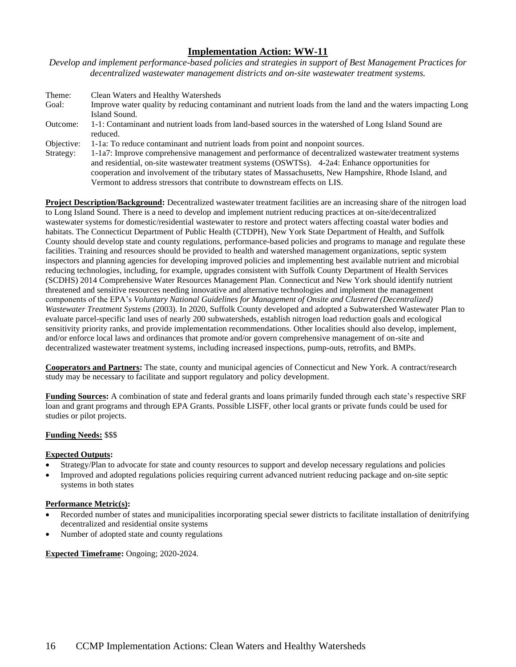*Develop and implement performance-based policies and strategies in support of Best Management Practices for decentralized wastewater management districts and on-site wastewater treatment systems.* 

| Theme:     | Clean Waters and Healthy Watersheds                                                                          |
|------------|--------------------------------------------------------------------------------------------------------------|
| Goal:      | Improve water quality by reducing contaminant and nutrient loads from the land and the waters impacting Long |
|            | Island Sound.                                                                                                |
| Outcome:   | 1-1: Contaminant and nutrient loads from land-based sources in the watershed of Long Island Sound are        |
|            | reduced.                                                                                                     |
| Objective: | 1-1a: To reduce contaminant and nutrient loads from point and nonpoint sources.                              |
| Strategy:  | 1-1a7: Improve comprehensive management and performance of decentralized wastewater treatment systems        |
|            | and residential, on-site wastewater treatment systems (OSWTSs). 4-2a4: Enhance opportunities for             |
|            | cooperation and involvement of the tributary states of Massachusetts, New Hampshire, Rhode Island, and       |
|            | Vermont to address stressors that contribute to downstream effects on LIS.                                   |

**Project Description/Background:** Decentralized wastewater treatment facilities are an increasing share of the nitrogen load to Long Island Sound. There is a need to develop and implement nutrient reducing practices at on-site/decentralized wastewater systems for domestic/residential wastewater to restore and protect waters affecting coastal water bodies and habitats. The Connecticut Department of Public Health (CTDPH), New York State Department of Health, and Suffolk County should develop state and county regulations, performance-based policies and programs to manage and regulate these facilities. Training and resources should be provided to health and watershed management organizations, septic system inspectors and planning agencies for developing improved policies and implementing best available nutrient and microbial reducing technologies, including, for example, upgrades consistent with Suffolk County Department of Health Services (SCDHS) 2014 Comprehensive Water Resources Management Plan. Connecticut and New York should identify nutrient threatened and sensitive resources needing innovative and alternative technologies and implement the management components of the EPA's *Voluntary National Guidelines for Management of Onsite and Clustered (Decentralized) Wastewater Treatment Systems* (2003). In 2020, Suffolk County developed and adopted a Subwatershed Wastewater Plan to evaluate parcel-specific land uses of nearly 200 subwatersheds, establish nitrogen load reduction goals and ecological sensitivity priority ranks, and provide implementation recommendations. Other localities should also develop, implement, and/or enforce local laws and ordinances that promote and/or govern comprehensive management of on-site and decentralized wastewater treatment systems, including increased inspections, pump-outs, retrofits, and BMPs.

**Cooperators and Partners:** The state, county and municipal agencies of Connecticut and New York. A contract/research study may be necessary to facilitate and support regulatory and policy development.

**Funding Sources:** A combination of state and federal grants and loans primarily funded through each state's respective SRF loan and grant programs and through EPA Grants. Possible LISFF, other local grants or private funds could be used for studies or pilot projects.

# **Funding Needs:** \$\$\$

# **Expected Outputs:**

- Strategy/Plan to advocate for state and county resources to support and develop necessary regulations and policies
- Improved and adopted regulations policies requiring current advanced nutrient reducing package and on-site septic systems in both states

# **Performance Metric(s):**

- Recorded number of states and municipalities incorporating special sewer districts to facilitate installation of denitrifying decentralized and residential onsite systems
- Number of adopted state and county regulations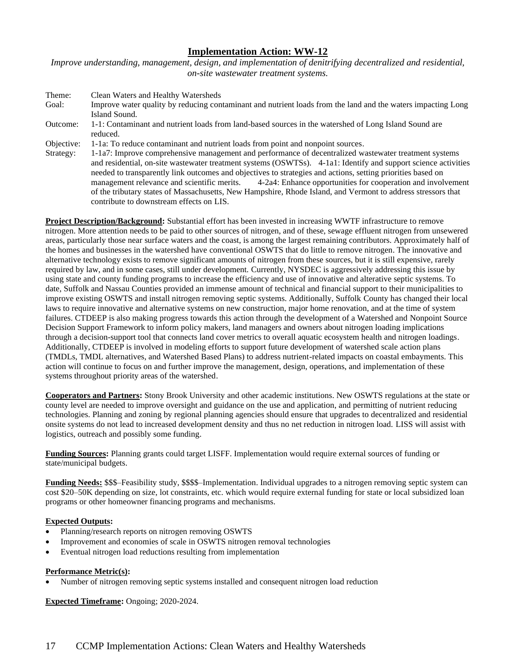*Improve understanding, management, design, and implementation of denitrifying decentralized and residential, on-site wastewater treatment systems.* 

| Theme:     | Clean Waters and Healthy Watersheds                                                                                                                                                                                                                                                                                                                                                                                                                                                                                                                                                                               |
|------------|-------------------------------------------------------------------------------------------------------------------------------------------------------------------------------------------------------------------------------------------------------------------------------------------------------------------------------------------------------------------------------------------------------------------------------------------------------------------------------------------------------------------------------------------------------------------------------------------------------------------|
| Goal:      | Improve water quality by reducing contaminant and nutrient loads from the land and the waters impacting Long                                                                                                                                                                                                                                                                                                                                                                                                                                                                                                      |
|            | Island Sound.                                                                                                                                                                                                                                                                                                                                                                                                                                                                                                                                                                                                     |
| Outcome:   | 1-1: Contaminant and nutrient loads from land-based sources in the watershed of Long Island Sound are<br>reduced.                                                                                                                                                                                                                                                                                                                                                                                                                                                                                                 |
| Objective: | 1-1a: To reduce contaminant and nutrient loads from point and nonpoint sources.                                                                                                                                                                                                                                                                                                                                                                                                                                                                                                                                   |
| Strategy:  | 1-1a7: Improve comprehensive management and performance of decentralized wastewater treatment systems<br>and residential, on-site wastewater treatment systems (OSWTSs). 4-1a1: Identify and support science activities<br>needed to transparently link outcomes and objectives to strategies and actions, setting priorities based on<br>4-2a4: Enhance opportunities for cooperation and involvement<br>management relevance and scientific merits.<br>of the tributary states of Massachusetts, New Hampshire, Rhode Island, and Vermont to address stressors that<br>contribute to downstream effects on LIS. |

**Project Description/Background:** Substantial effort has been invested in increasing WWTF infrastructure to remove nitrogen. More attention needs to be paid to other sources of nitrogen, and of these, sewage effluent nitrogen from unsewered areas, particularly those near surface waters and the coast, is among the largest remaining contributors. Approximately half of the homes and businesses in the watershed have conventional OSWTS that do little to remove nitrogen. The innovative and alternative technology exists to remove significant amounts of nitrogen from these sources, but it is still expensive, rarely required by law, and in some cases, still under development. Currently, NYSDEC is aggressively addressing this issue by using state and county funding programs to increase the efficiency and use of innovative and alterative septic systems. To date, Suffolk and Nassau Counties provided an immense amount of technical and financial support to their municipalities to improve existing OSWTS and install nitrogen removing septic systems. Additionally, Suffolk County has changed their local laws to require innovative and alternative systems on new construction, major home renovation, and at the time of system failures. CTDEEP is also making progress towards this action through the development of a Watershed and Nonpoint Source Decision Support Framework to inform policy makers, land managers and owners about nitrogen loading implications through a decision-support tool that connects land cover metrics to overall aquatic ecosystem health and nitrogen loadings. Additionally, CTDEEP is involved in modeling efforts to support future development of watershed scale action plans (TMDLs, TMDL alternatives, and Watershed Based Plans) to address nutrient-related impacts on coastal embayments. This action will continue to focus on and further improve the management, design, operations, and implementation of these systems throughout priority areas of the watershed.

**Cooperators and Partners:** Stony Brook University and other academic institutions. New OSWTS regulations at the state or county level are needed to improve oversight and guidance on the use and application, and permitting of nutrient reducing technologies. Planning and zoning by regional planning agencies should ensure that upgrades to decentralized and residential onsite systems do not lead to increased development density and thus no net reduction in nitrogen load. LISS will assist with logistics, outreach and possibly some funding.

**Funding Sources:** Planning grants could target LISFF. Implementation would require external sources of funding or state/municipal budgets.

**Funding Needs:** \$\$\$–Feasibility study, \$\$\$\$–Implementation. Individual upgrades to a nitrogen removing septic system can cost \$20–50K depending on size, lot constraints, etc. which would require external funding for state or local subsidized loan programs or other homeowner financing programs and mechanisms.

# **Expected Outputs:**

- Planning/research reports on nitrogen removing OSWTS
- Improvement and economies of scale in OSWTS nitrogen removal technologies
- Eventual nitrogen load reductions resulting from implementation

### **Performance Metric(s):**

• Number of nitrogen removing septic systems installed and consequent nitrogen load reduction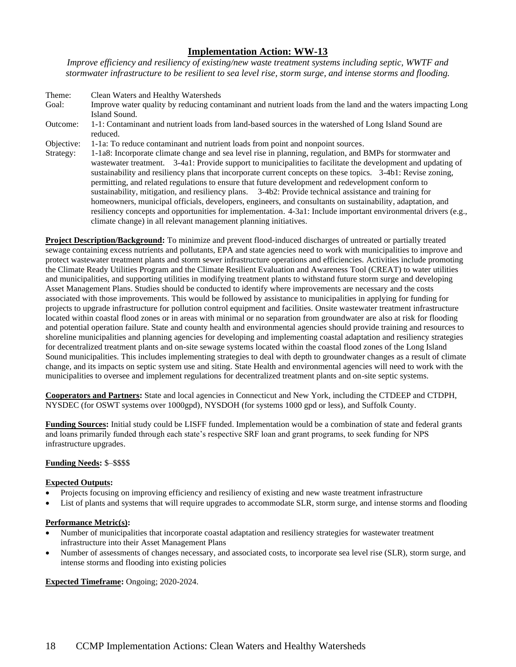*Improve efficiency and resiliency of existing/new waste treatment systems including septic, WWTF and stormwater infrastructure to be resilient to sea level rise, storm surge, and intense storms and flooding.*

| Theme:     | Clean Waters and Healthy Watersheds                                                                                                                                                                                                                                                                                                                                                                                                                                                                                                                                                                                                                                                                                                                                                                                                                            |
|------------|----------------------------------------------------------------------------------------------------------------------------------------------------------------------------------------------------------------------------------------------------------------------------------------------------------------------------------------------------------------------------------------------------------------------------------------------------------------------------------------------------------------------------------------------------------------------------------------------------------------------------------------------------------------------------------------------------------------------------------------------------------------------------------------------------------------------------------------------------------------|
| Goal:      | Improve water quality by reducing contaminant and nutrient loads from the land and the waters impacting Long<br>Island Sound.                                                                                                                                                                                                                                                                                                                                                                                                                                                                                                                                                                                                                                                                                                                                  |
| Outcome:   | 1-1: Contaminant and nutrient loads from land-based sources in the watershed of Long Island Sound are<br>reduced.                                                                                                                                                                                                                                                                                                                                                                                                                                                                                                                                                                                                                                                                                                                                              |
| Objective: | 1-1a: To reduce contaminant and nutrient loads from point and nonpoint sources.                                                                                                                                                                                                                                                                                                                                                                                                                                                                                                                                                                                                                                                                                                                                                                                |
| Strategy:  | 1-1a8: Incorporate climate change and sea level rise in planning, regulation, and BMPs for stormwater and<br>wastewater treatment. 3-4a1: Provide support to municipalities to facilitate the development and updating of<br>sustainability and resiliency plans that incorporate current concepts on these topics. 3-4b1: Revise zoning,<br>permitting, and related regulations to ensure that future development and redevelopment conform to<br>sustainability, mitigation, and resiliency plans. 3-4b2: Provide technical assistance and training for<br>homeowners, municipal officials, developers, engineers, and consultants on sustainability, adaptation, and<br>resiliency concepts and opportunities for implementation. 4-3a1: Include important environmental drivers (e.g.,<br>climate change) in all relevant management planning initiatives. |

**Project Description/Background:** To minimize and prevent flood-induced discharges of untreated or partially treated sewage containing excess nutrients and pollutants, EPA and state agencies need to work with municipalities to improve and protect wastewater treatment plants and storm sewer infrastructure operations and efficiencies. Activities include promoting the Climate Ready Utilities Program and the Climate Resilient Evaluation and Awareness Tool (CREAT) to water utilities and municipalities, and supporting utilities in modifying treatment plants to withstand future storm surge and developing Asset Management Plans. Studies should be conducted to identify where improvements are necessary and the costs associated with those improvements. This would be followed by assistance to municipalities in applying for funding for projects to upgrade infrastructure for pollution control equipment and facilities. Onsite wastewater treatment infrastructure located within coastal flood zones or in areas with minimal or no separation from groundwater are also at risk for flooding and potential operation failure. State and county health and environmental agencies should provide training and resources to shoreline municipalities and planning agencies for developing and implementing coastal adaptation and resiliency strategies for decentralized treatment plants and on-site sewage systems located within the coastal flood zones of the Long Island Sound municipalities. This includes implementing strategies to deal with depth to groundwater changes as a result of climate change, and its impacts on septic system use and siting. State Health and environmental agencies will need to work with the municipalities to oversee and implement regulations for decentralized treatment plants and on-site septic systems.

**Cooperators and Partners:** State and local agencies in Connecticut and New York, including the CTDEEP and CTDPH, NYSDEC (for OSWT systems over 1000gpd), NYSDOH (for systems 1000 gpd or less), and Suffolk County.

**Funding Sources:** Initial study could be LISFF funded. Implementation would be a combination of state and federal grants and loans primarily funded through each state's respective SRF loan and grant programs, to seek funding for NPS infrastructure upgrades.

# **Funding Needs:** \$–\$\$\$\$

# **Expected Outputs:**

- Projects focusing on improving efficiency and resiliency of existing and new waste treatment infrastructure
- List of plants and systems that will require upgrades to accommodate SLR, storm surge, and intense storms and flooding

### **Performance Metric(s):**

- Number of municipalities that incorporate coastal adaptation and resiliency strategies for wastewater treatment infrastructure into their Asset Management Plans
- Number of assessments of changes necessary, and associated costs, to incorporate sea level rise (SLR), storm surge, and intense storms and flooding into existing policies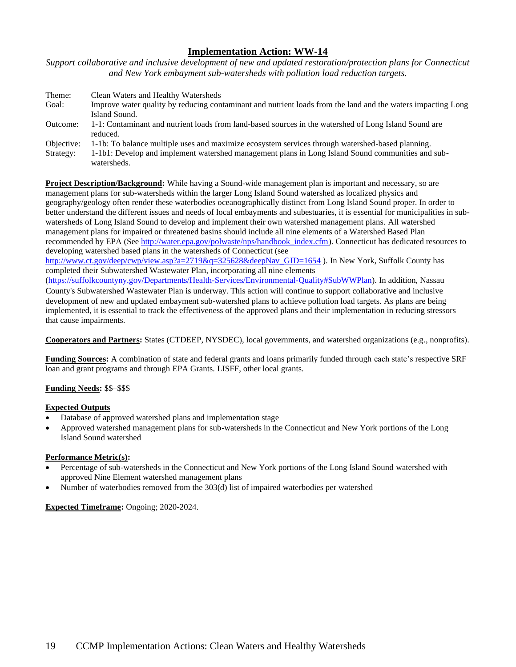*Support collaborative and inclusive development of new and updated restoration/protection plans for Connecticut and New York embayment sub-watersheds with pollution load reduction targets.*

| Theme:     | Clean Waters and Healthy Watersheds                                                                               |
|------------|-------------------------------------------------------------------------------------------------------------------|
| Goal:      | Improve water quality by reducing contaminant and nutrient loads from the land and the waters impacting Long      |
|            | Island Sound.                                                                                                     |
| Outcome:   | 1-1: Contaminant and nutrient loads from land-based sources in the watershed of Long Island Sound are<br>reduced. |
| Objective: | 1-1b: To balance multiple uses and maximize ecosystem services through watershed-based planning.                  |
| Strategy:  | 1-1b1: Develop and implement watershed management plans in Long Island Sound communities and sub-<br>watersheds.  |

**Project Description/Background:** While having a Sound-wide management plan is important and necessary, so are management plans for sub-watersheds within the larger Long Island Sound watershed as localized physics and geography/geology often render these waterbodies oceanographically distinct from Long Island Sound proper. In order to better understand the different issues and needs of local embayments and subestuaries, it is essential for municipalities in subwatersheds of Long Island Sound to develop and implement their own watershed management plans. All watershed management plans for impaired or threatened basins should include all nine elements of a Watershed Based Plan recommended by EPA (See [http://water.epa.gov/polwaste/nps/handbook\\_index.cfm\)](http://water.epa.gov/polwaste/nps/handbook_index.cfm). Connecticut has dedicated resources to developing watershed based plans in the watersheds of Connecticut (see

[http://www.ct.gov/deep/cwp/view.asp?a=2719&q=325628&deepNav\\_GID=1654](http://www.ct.gov/deep/cwp/view.asp?a=2719&q=325628&deepNav_GID=1654) ). In New York, Suffolk County has completed their Subwatershed Wastewater Plan, incorporating all nine elements

[\(https://suffolkcountyny.gov/Departments/Health-Services/Environmental-Quality#SubWWPlan\)](https://suffolkcountyny.gov/Departments/Health-Services/Environmental-Quality#SubWWPlan). In addition, Nassau County's Subwatershed Wastewater Plan is underway. This action will continue to support collaborative and inclusive development of new and updated embayment sub-watershed plans to achieve pollution load targets. As plans are being implemented, it is essential to track the effectiveness of the approved plans and their implementation in reducing stressors that cause impairments.

**Cooperators and Partners:** States (CTDEEP, NYSDEC), local governments, and watershed organizations (e.g., nonprofits).

**Funding Sources:** A combination of state and federal grants and loans primarily funded through each state's respective SRF loan and grant programs and through EPA Grants. LISFF, other local grants.

# **Funding Needs:** \$\$–\$\$\$

# **Expected Outputs**

- Database of approved watershed plans and implementation stage
- Approved watershed management plans for sub-watersheds in the Connecticut and New York portions of the Long Island Sound watershed

### **Performance Metric(s):**

- Percentage of sub-watersheds in the Connecticut and New York portions of the Long Island Sound watershed with approved Nine Element watershed management plans
- Number of waterbodies removed from the 303(d) list of impaired waterbodies per watershed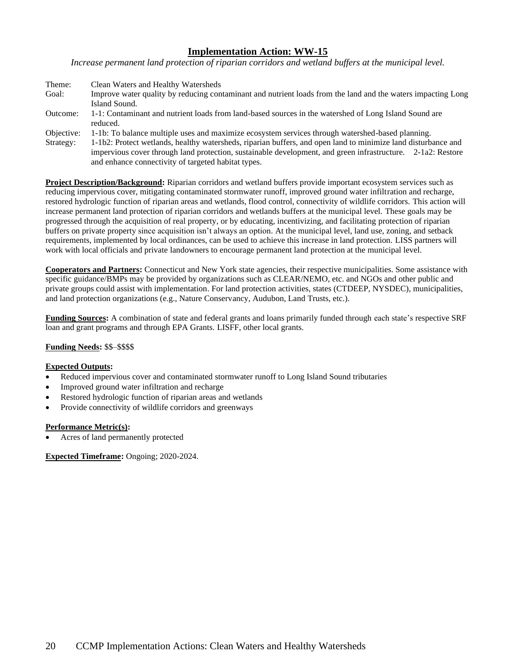*Increase permanent land protection of riparian corridors and wetland buffers at the municipal level.*

| Theme:     | Clean Waters and Healthy Watersheds                                                                                                               |
|------------|---------------------------------------------------------------------------------------------------------------------------------------------------|
| Goal:      | Improve water quality by reducing contaminant and nutrient loads from the land and the waters impacting Long                                      |
|            | Island Sound.                                                                                                                                     |
| Outcome:   | 1-1: Contaminant and nutrient loads from land-based sources in the watershed of Long Island Sound are                                             |
|            | reduced.                                                                                                                                          |
| Objective: | 1-1b: To balance multiple uses and maximize ecosystem services through watershed-based planning.                                                  |
| Strategy:  | 1-1b2: Protect wetlands, healthy watersheds, riparian buffers, and open land to minimize land disturbance and                                     |
|            | $\frac{1}{2}$ . The contract of the contract of the contract of the development and correct information $\alpha$ , $\alpha$ , $\alpha$ , $\alpha$ |

impervious cover through land protection, sustainable development, and green infrastructure. 2-1a2: Restore and enhance connectivity of targeted habitat types.

**Project Description/Background:** Riparian corridors and wetland buffers provide important ecosystem services such as reducing impervious cover, mitigating contaminated stormwater runoff, improved ground water infiltration and recharge, restored hydrologic function of riparian areas and wetlands, flood control, connectivity of wildlife corridors. This action will increase permanent land protection of riparian corridors and wetlands buffers at the municipal level. These goals may be progressed through the acquisition of real property, or by educating, incentivizing, and facilitating protection of riparian buffers on private property since acquisition isn't always an option. At the municipal level, land use, zoning, and setback requirements, implemented by local ordinances, can be used to achieve this increase in land protection. LISS partners will work with local officials and private landowners to encourage permanent land protection at the municipal level.

**Cooperators and Partners:** Connecticut and New York state agencies, their respective municipalities. Some assistance with specific guidance/BMPs may be provided by organizations such as CLEAR/NEMO, etc. and NGOs and other public and private groups could assist with implementation. For land protection activities, states (CTDEEP, NYSDEC), municipalities, and land protection organizations (e.g., Nature Conservancy, Audubon, Land Trusts, etc.).

**Funding Sources:** A combination of state and federal grants and loans primarily funded through each state's respective SRF loan and grant programs and through EPA Grants. LISFF, other local grants.

# **Funding Needs:** \$\$–\$\$\$\$

# **Expected Outputs:**

- Reduced impervious cover and contaminated stormwater runoff to Long Island Sound tributaries
- Improved ground water infiltration and recharge
- Restored hydrologic function of riparian areas and wetlands
- Provide connectivity of wildlife corridors and greenways

### **Performance Metric(s):**

• Acres of land permanently protected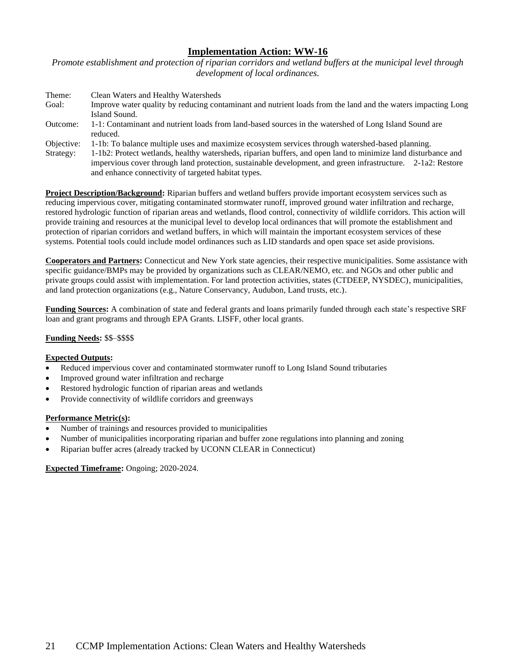*Promote establishment and protection of riparian corridors and wetland buffers at the municipal level through development of local ordinances.*

| Theme:     | Clean Waters and Healthy Watersheds                                                                                           |
|------------|-------------------------------------------------------------------------------------------------------------------------------|
| Goal:      | Improve water quality by reducing contaminant and nutrient loads from the land and the waters impacting Long<br>Island Sound. |
|            |                                                                                                                               |
| Outcome:   | 1-1: Contaminant and nutrient loads from land-based sources in the watershed of Long Island Sound are<br>reduced.             |
| Objective: | 1-1b: To balance multiple uses and maximize ecosystem services through watershed-based planning.                              |
| Strategy:  | 1-1b2: Protect wetlands, healthy watersheds, riparian buffers, and open land to minimize land disturbance and                 |
|            | impervious cover through land protection, sustainable development, and green infrastructure. 2-1a2: Restore                   |
|            | and enhance connectivity of targeted habitat types.                                                                           |

**Project Description/Background:** Riparian buffers and wetland buffers provide important ecosystem services such as reducing impervious cover, mitigating contaminated stormwater runoff, improved ground water infiltration and recharge, restored hydrologic function of riparian areas and wetlands, flood control, connectivity of wildlife corridors. This action will provide training and resources at the municipal level to develop local ordinances that will promote the establishment and protection of riparian corridors and wetland buffers, in which will maintain the important ecosystem services of these systems. Potential tools could include model ordinances such as LID standards and open space set aside provisions.

**Cooperators and Partners:** Connecticut and New York state agencies, their respective municipalities. Some assistance with specific guidance/BMPs may be provided by organizations such as CLEAR/NEMO, etc. and NGOs and other public and private groups could assist with implementation. For land protection activities, states (CTDEEP, NYSDEC), municipalities, and land protection organizations (e.g., Nature Conservancy, Audubon, Land trusts, etc.).

**Funding Sources:** A combination of state and federal grants and loans primarily funded through each state's respective SRF loan and grant programs and through EPA Grants. LISFF, other local grants.

### **Funding Needs:** \$\$–\$\$\$\$

### **Expected Outputs:**

- Reduced impervious cover and contaminated stormwater runoff to Long Island Sound tributaries
- Improved ground water infiltration and recharge
- Restored hydrologic function of riparian areas and wetlands
- Provide connectivity of wildlife corridors and greenways

### **Performance Metric(s):**

- Number of trainings and resources provided to municipalities
- Number of municipalities incorporating riparian and buffer zone regulations into planning and zoning
- Riparian buffer acres (already tracked by UCONN CLEAR in Connecticut)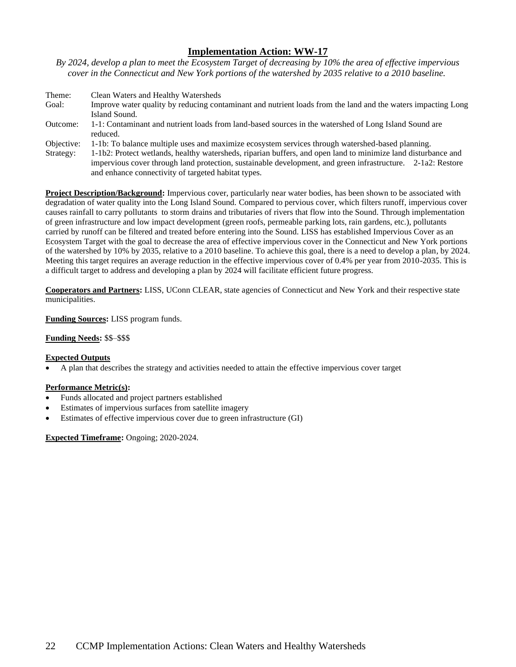*By 2024, develop a plan to meet the Ecosystem Target of decreasing by 10% the area of effective impervious cover in the Connecticut and New York portions of the watershed by 2035 relative to a 2010 baseline.*

| Theme:     | Clean Waters and Healthy Watersheds                                                                                                                                                                                                                                                 |
|------------|-------------------------------------------------------------------------------------------------------------------------------------------------------------------------------------------------------------------------------------------------------------------------------------|
| Goal:      | Improve water quality by reducing contaminant and nutrient loads from the land and the waters impacting Long<br>Island Sound.                                                                                                                                                       |
| Outcome:   | 1-1: Contaminant and nutrient loads from land-based sources in the watershed of Long Island Sound are<br>reduced.                                                                                                                                                                   |
| Objective: | 1-1b: To balance multiple uses and maximize ecosystem services through watershed-based planning.                                                                                                                                                                                    |
| Strategy:  | 1-1b2: Protect wetlands, healthy watersheds, riparian buffers, and open land to minimize land disturbance and<br>impervious cover through land protection, sustainable development, and green infrastructure. 2-1a2: Restore<br>and enhance connectivity of targeted habitat types. |

**Project Description/Background:** Impervious cover, particularly near water bodies, has been shown to be associated with degradation of water quality into the Long Island Sound. Compared to pervious cover, which filters runoff, impervious cover causes rainfall to carry pollutants to storm drains and tributaries of rivers that flow into the Sound. Through implementation of green infrastructure and low impact development (green roofs, permeable parking lots, rain gardens, etc.), pollutants carried by runoff can be filtered and treated before entering into the Sound. LISS has established Impervious Cover as an Ecosystem Target with the goal to decrease the area of effective impervious cover in the Connecticut and New York portions of the watershed by 10% by 2035, relative to a 2010 baseline. To achieve this goal, there is a need to develop a plan, by 2024. Meeting this target requires an average reduction in the effective impervious cover of 0.4% per year from 2010-2035. This is a difficult target to address and developing a plan by 2024 will facilitate efficient future progress.

**Cooperators and Partners:** LISS, UConn CLEAR, state agencies of Connecticut and New York and their respective state municipalities.

### **Funding Sources:** LISS program funds.

### **Funding Needs:** \$\$–\$\$\$

# **Expected Outputs**

• A plan that describes the strategy and activities needed to attain the effective impervious cover target

# **Performance Metric(s):**

- Funds allocated and project partners established
- Estimates of impervious surfaces from satellite imagery
- Estimates of effective impervious cover due to green infrastructure (GI)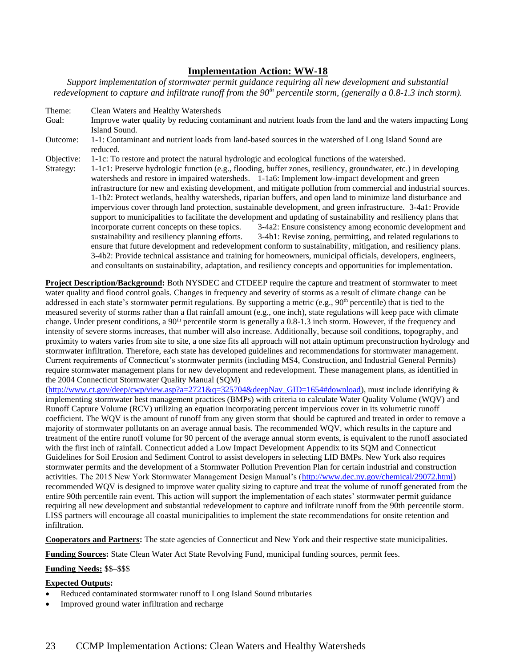*Support implementation of stormwater permit guidance requiring all new development and substantial redevelopment to capture and infiltrate runoff from the 90th percentile storm, (generally a 0.8-1.3 inch storm).*

Theme: Clean Waters and Healthy Watersheds Goal: Improve water quality by reducing contaminant and nutrient loads from the land and the waters impacting Long Island Sound. Outcome: 1-1: Contaminant and nutrient loads from land-based sources in the watershed of Long Island Sound are reduced. Objective: 1-1c: To restore and protect the natural hydrologic and ecological functions of the watershed. Strategy: 1-1c1: Preserve hydrologic function (e.g., flooding, buffer zones, resiliency, groundwater, etc.) in developing watersheds and restore in impaired watersheds. 1-1a6: Implement low-impact development and green infrastructure for new and existing development, and mitigate pollution from commercial and industrial sources. 1-1b2: Protect wetlands, healthy watersheds, riparian buffers, and open land to minimize land disturbance and impervious cover through land protection, sustainable development, and green infrastructure. 3-4a1: Provide support to municipalities to facilitate the development and updating of sustainability and resiliency plans that incorporate current concepts on these topics. 3-4a2: Ensure consistency among economic development and sustainability and resiliency planning efforts. 3-4b1: Revise zoning, permitting, and related regulations to ensure that future development and redevelopment conform to sustainability, mitigation, and resiliency plans. 3-4b2: Provide technical assistance and training for homeowners, municipal officials, developers, engineers, and consultants on sustainability, adaptation, and resiliency concepts and opportunities for implementation.

**Project Description/Background:** Both NYSDEC and CTDEEP require the capture and treatment of stormwater to meet water quality and flood control goals. Changes in frequency and severity of storms as a result of climate change can be addressed in each state's stormwater permit regulations. By supporting a metric (e.g., 90<sup>th</sup> percentile) that is tied to the measured severity of storms rather than a flat rainfall amount (e.g., one inch), state regulations will keep pace with climate change. Under present conditions, a  $90<sup>th</sup>$  percentile storm is generally a 0.8-1.3 inch storm. However, if the frequency and intensity of severe storms increases, that number will also increase. Additionally, because soil conditions, topography, and proximity to waters varies from site to site, a one size fits all approach will not attain optimum preconstruction hydrology and stormwater infiltration. Therefore, each state has developed guidelines and recommendations for stormwater management. Current requirements of Connecticut's stormwater permits (including MS4, Construction, and Industrial General Permits) require stormwater management plans for new development and redevelopment. These management plans, as identified in the 2004 Connecticut Stormwater Quality Manual (SQM)

[\(http://www.ct.gov/deep/cwp/view.asp?a=2721&q=325704&deepNav\\_GID=1654#download\)](http://www.ct.gov/deep/cwp/view.asp?a=2721&q=325704&deepNav_GID=1654#download), must include identifying & implementing stormwater best management practices (BMPs) with criteria to calculate Water Quality Volume (WQV) and Runoff Capture Volume (RCV) utilizing an equation incorporating percent impervious cover in its volumetric runoff coefficient. The WQV is the amount of runoff from any given storm that should be captured and treated in order to remove a majority of stormwater pollutants on an average annual basis. The recommended WQV, which results in the capture and treatment of the entire runoff volume for 90 percent of the average annual storm events, is equivalent to the runoff associated with the first inch of rainfall. Connecticut added a Low Impact Development Appendix to its SQM and Connecticut Guidelines for Soil Erosion and Sediment Control to assist developers in selecting LID BMPs. New York also requires stormwater permits and the development of a Stormwater Pollution Prevention Plan for certain industrial and construction activities. The 2015 New York Stormwater Management Design Manual's [\(http://www.dec.ny.gov/chemical/29072.html\)](http://www.dec.ny.gov/chemical/29072.html) recommended WQV is designed to improve water quality sizing to capture and treat the volume of runoff generated from the entire 90th percentile rain event. This action will support the implementation of each states' stormwater permit guidance requiring all new development and substantial redevelopment to capture and infiltrate runoff from the 90th percentile storm. LISS partners will encourage all coastal municipalities to implement the state recommendations for onsite retention and infiltration.

**Cooperators and Partners:** The state agencies of Connecticut and New York and their respective state municipalities.

**Funding Sources:** State Clean Water Act State Revolving Fund, municipal funding sources, permit fees.

**Funding Needs:** \$\$–\$\$\$

# **Expected Outputs:**

- Reduced contaminated stormwater runoff to Long Island Sound tributaries
- Improved ground water infiltration and recharge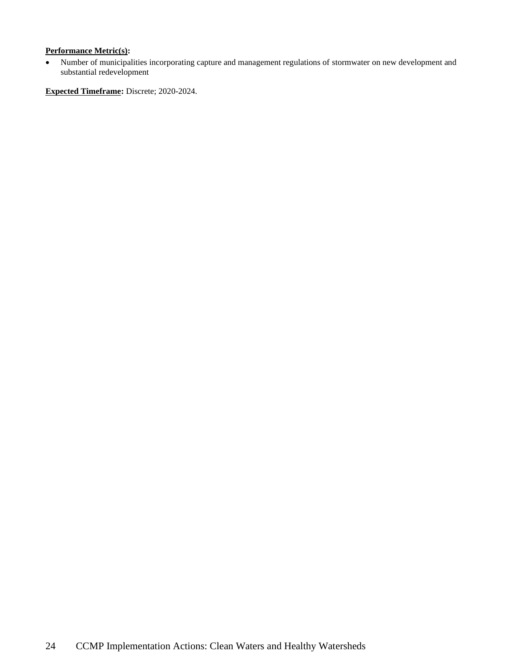# **Performance Metric(s):**

• Number of municipalities incorporating capture and management regulations of stormwater on new development and substantial redevelopment

**Expected Timeframe:** Discrete; 2020-2024.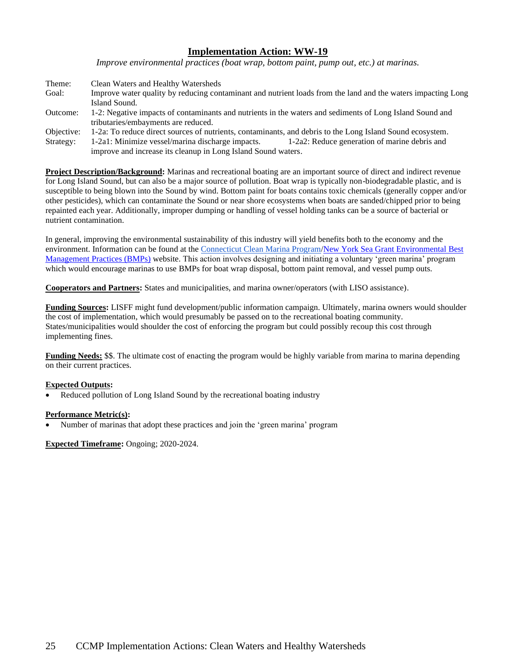*Improve environmental practices (boat wrap, bottom paint, pump out, etc.) at marinas.*

| Theme:     | Clean Waters and Healthy Watersheds                                                                          |  |
|------------|--------------------------------------------------------------------------------------------------------------|--|
| Goal:      | Improve water quality by reducing contaminant and nutrient loads from the land and the waters impacting Long |  |
|            | Island Sound.                                                                                                |  |
| Outcome:   | 1-2: Negative impacts of contaminants and nutrients in the waters and sediments of Long Island Sound and     |  |
|            | tributaries/embayments are reduced.                                                                          |  |
| Objective: | 1-2a: To reduce direct sources of nutrients, contaminants, and debris to the Long Island Sound ecosystem.    |  |
| Strategy:  | 1-2a2: Reduce generation of marine debris and<br>1-2a1: Minimize vessel/marina discharge impacts.            |  |
|            | improve and increase its cleanup in Long Island Sound waters.                                                |  |

**Project Description/Background:** Marinas and recreational boating are an important source of direct and indirect revenue for Long Island Sound, but can also be a major source of pollution. Boat wrap is typically non-biodegradable plastic, and is susceptible to being blown into the Sound by wind. Bottom paint for boats contains toxic chemicals (generally copper and/or other pesticides), which can contaminate the Sound or near shore ecosystems when boats are sanded/chipped prior to being repainted each year. Additionally, improper dumping or handling of vessel holding tanks can be a source of bacterial or nutrient contamination.

In general, improving the environmental sustainability of this industry will yield benefits both to the economy and the environment. Information can be found at the [Connecticut Clean Marina Program](http://www.ct.gov/deep/cwp/view.asp?a=2705&q=323530)[/New York Sea Grant Environmental Best](https://seagrant.sunysb.edu/marinabmp/)  [Management Practices \(BMPs\)](https://seagrant.sunysb.edu/marinabmp/) website. This action involves designing and initiating a voluntary 'green marina' program which would encourage marinas to use BMPs for boat wrap disposal, bottom paint removal, and vessel pump outs.

**Cooperators and Partners:** States and municipalities, and marina owner/operators (with LISO assistance).

**Funding Sources:** LISFF might fund development/public information campaign. Ultimately, marina owners would shoulder the cost of implementation, which would presumably be passed on to the recreational boating community. States/municipalities would shoulder the cost of enforcing the program but could possibly recoup this cost through implementing fines.

**Funding Needs:** \$\$. The ultimate cost of enacting the program would be highly variable from marina to marina depending on their current practices.

# **Expected Outputs:**

Reduced pollution of Long Island Sound by the recreational boating industry

# **Performance Metric(s):**

• Number of marinas that adopt these practices and join the 'green marina' program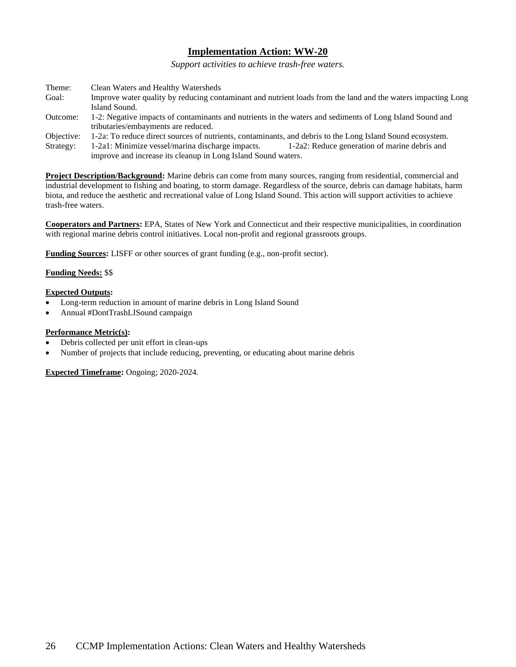*Support activities to achieve trash-free waters.*

| Theme:     | Clean Waters and Healthy Watersheds                                                                          |
|------------|--------------------------------------------------------------------------------------------------------------|
| Goal:      | Improve water quality by reducing contaminant and nutrient loads from the land and the waters impacting Long |
|            | Island Sound.                                                                                                |
| Outcome:   | 1-2: Negative impacts of contaminants and nutrients in the waters and sediments of Long Island Sound and     |
|            | tributaries/embayments are reduced.                                                                          |
| Objective: | 1-2a: To reduce direct sources of nutrients, contaminants, and debris to the Long Island Sound ecosystem.    |
| Strategy:  | 1-2a2: Reduce generation of marine debris and<br>1-2a1: Minimize vessel/marina discharge impacts.            |
|            | improve and increase its cleanup in Long Island Sound waters.                                                |

**Project Description/Background:** Marine debris can come from many sources, ranging from residential, commercial and industrial development to fishing and boating, to storm damage. Regardless of the source, debris can damage habitats, harm biota, and reduce the aesthetic and recreational value of Long Island Sound. This action will support activities to achieve trash-free waters.

**Cooperators and Partners:** EPA, States of New York and Connecticut and their respective municipalities, in coordination with regional marine debris control initiatives. Local non-profit and regional grassroots groups.

**Funding Sources:** LISFF or other sources of grant funding (e.g., non-profit sector).

### **Funding Needs:** \$\$

### **Expected Outputs:**

- Long-term reduction in amount of marine debris in Long Island Sound
- Annual #DontTrashLISound campaign

### **Performance Metric(s):**

- Debris collected per unit effort in clean-ups
- Number of projects that include reducing, preventing, or educating about marine debris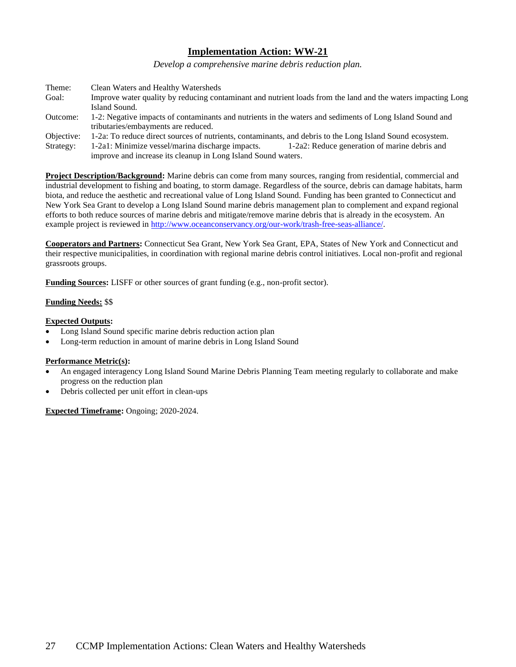*Develop a comprehensive marine debris reduction plan.*

| Theme:     | Clean Waters and Healthy Watersheds                                                                          |
|------------|--------------------------------------------------------------------------------------------------------------|
| Goal:      | Improve water quality by reducing contaminant and nutrient loads from the land and the waters impacting Long |
|            | Island Sound.                                                                                                |
| Outcome:   | 1-2: Negative impacts of contaminants and nutrients in the waters and sediments of Long Island Sound and     |
|            | tributaries/embayments are reduced.                                                                          |
| Objective: | 1-2a: To reduce direct sources of nutrients, contaminants, and debris to the Long Island Sound ecosystem.    |
| Strategy:  | 1-2a2: Reduce generation of marine debris and<br>1-2a1: Minimize vessel/marina discharge impacts.            |
|            | improve and increase its cleanup in Long Island Sound waters.                                                |

**Project Description/Background:** Marine debris can come from many sources, ranging from residential, commercial and industrial development to fishing and boating, to storm damage. Regardless of the source, debris can damage habitats, harm biota, and reduce the aesthetic and recreational value of Long Island Sound. Funding has been granted to Connecticut and New York Sea Grant to develop a Long Island Sound marine debris management plan to complement and expand regional efforts to both reduce sources of marine debris and mitigate/remove marine debris that is already in the ecosystem. An example project is reviewed in [http://www.oceanconservancy.org/our-work/trash-free-seas-alliance/.](http://www.oceanconservancy.org/our-work/trash-free-seas-alliance/)

**Cooperators and Partners:** Connecticut Sea Grant, New York Sea Grant, EPA, States of New York and Connecticut and their respective municipalities, in coordination with regional marine debris control initiatives. Local non-profit and regional grassroots groups.

**Funding Sources:** LISFF or other sources of grant funding (e.g., non-profit sector).

# **Funding Needs:** \$\$

# **Expected Outputs:**

- Long Island Sound specific marine debris reduction action plan
- Long-term reduction in amount of marine debris in Long Island Sound

### **Performance Metric(s):**

- An engaged interagency Long Island Sound Marine Debris Planning Team meeting regularly to collaborate and make progress on the reduction plan
- Debris collected per unit effort in clean-ups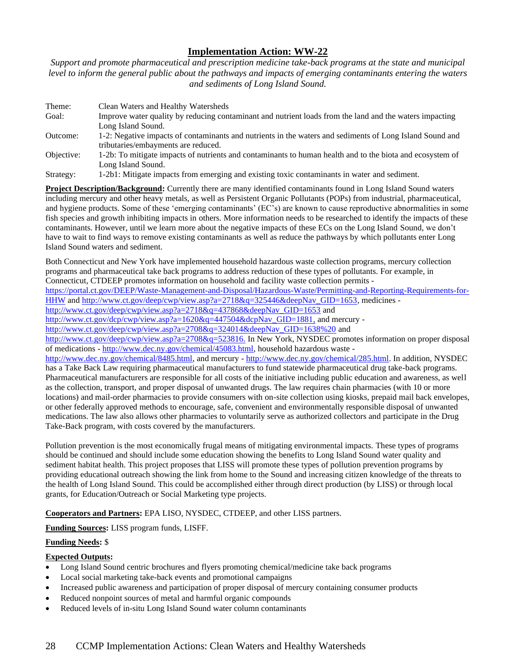*Support and promote pharmaceutical and prescription medicine take-back programs at the state and municipal level to inform the general public about the pathways and impacts of emerging contaminants entering the waters and sediments of Long Island Sound.*

| Theme:     | Clean Waters and Healthy Watersheds                                                                       |
|------------|-----------------------------------------------------------------------------------------------------------|
| Goal:      | Improve water quality by reducing contaminant and nutrient loads from the land and the waters impacting   |
|            | Long Island Sound.                                                                                        |
| Outcome:   | 1-2: Negative impacts of contaminants and nutrients in the waters and sediments of Long Island Sound and  |
|            | tributaries/embayments are reduced.                                                                       |
| Objective: | 1-2b: To mitigate impacts of nutrients and contaminants to human health and to the biota and ecosystem of |
|            | Long Island Sound.                                                                                        |
| Strategy:  | 1-2b1: Mitigate impacts from emerging and existing toxic contaminants in water and sediment.              |

**Project Description/Background:** Currently there are many identified contaminants found in Long Island Sound waters including mercury and other heavy metals, as well as Persistent Organic Pollutants (POPs) from industrial, pharmaceutical, and hygiene products. Some of these 'emerging contaminants' (EC's) are known to cause reproductive abnormalities in some fish species and growth inhibiting impacts in others. More information needs to be researched to identify the impacts of these contaminants. However, until we learn more about the negative impacts of these ECs on the Long Island Sound, we don't have to wait to find ways to remove existing contaminants as well as reduce the pathways by which pollutants enter Long Island Sound waters and sediment.

Both Connecticut and New York have implemented household hazardous waste collection programs, mercury collection programs and pharmaceutical take back programs to address reduction of these types of pollutants. For example, in Connecticut, CTDEEP promotes information on household and facility waste collection permits -

[https://portal.ct.gov/DEEP/Waste-Management-and-Disposal/Hazardous-Waste/Permitting-and-Reporting-Requirements-for-](https://portal.ct.gov/DEEP/Waste-Management-and-Disposal/Hazardous-Waste/Permitting-and-Reporting-Requirements-for-HHW)[HHW](https://portal.ct.gov/DEEP/Waste-Management-and-Disposal/Hazardous-Waste/Permitting-and-Reporting-Requirements-for-HHW) and [http://www.ct.gov/deep/cwp/view.asp?a=2718&q=325446&deepNav\\_GID=1653,](http://www.ct.gov/deep/cwp/view.asp?a=2718&q=325446&deepNav_GID=1653) medicines -

[http://www.ct.gov/deep/cwp/view.asp?a=2718&q=437868&deepNav\\_GID=1653](http://www.ct.gov/deep/cwp/view.asp?a=2718&q=437868&deepNav_GID=1653) and

[http://www.ct.gov/dcp/cwp/view.asp?a=1620&q=447504&dcpNav\\_GID=1881,](http://www.ct.gov/dcp/cwp/view.asp?a=1620&q=447504&dcpNav_GID=1881) and mercury -

[http://www.ct.gov/deep/cwp/view.asp?a=2708&q=324014&deepNav\\_GID=1638%20](http://www.ct.gov/deep/cwp/view.asp?a=2708&q=324014&deepNav_GID=1638%20) and

[http://www.ct.gov/deep/cwp/view.asp?a=2708&q=523816.](http://www.ct.gov/deep/cwp/view.asp?a=2708&q=523816) In New York, NYSDEC promotes information on proper disposal of medications - [http://www.dec.ny.gov/chemical/45083.html,](http://www.dec.ny.gov/chemical/45083.html) household hazardous waste -

[http://www.dec.ny.gov/chemical/8485.html,](http://www.dec.ny.gov/chemical/8485.html) and mercury - [http://www.dec.ny.gov/chemical/285.html.](http://www.dec.ny.gov/chemical/285.html) In addition, NYSDEC has a Take Back Law requiring pharmaceutical manufacturers to fund statewide pharmaceutical drug take-back programs. Pharmaceutical manufacturers are responsible for all costs of the initiative including public education and awareness, as well as the collection, transport, and proper disposal of unwanted drugs. The law requires chain pharmacies (with 10 or more locations) and mail-order pharmacies to provide consumers with on-site collection using kiosks, prepaid mail back envelopes, or other federally approved methods to encourage, safe, convenient and environmentally responsible disposal of unwanted medications. The law also allows other pharmacies to voluntarily serve as authorized collectors and participate in the Drug Take-Back program, with costs covered by the manufacturers.

Pollution prevention is the most economically frugal means of mitigating environmental impacts. These types of programs should be continued and should include some education showing the benefits to Long Island Sound water quality and sediment habitat health. This project proposes that LISS will promote these types of pollution prevention programs by providing educational outreach showing the link from home to the Sound and increasing citizen knowledge of the threats to the health of Long Island Sound. This could be accomplished either through direct production (by LISS) or through local grants, for Education/Outreach or Social Marketing type projects.

**Cooperators and Partners:** EPA LISO, NYSDEC, CTDEEP, and other LISS partners.

**Funding Sources:** LISS program funds, LISFF.

# **Funding Needs:** \$

# **Expected Outputs:**

- Long Island Sound centric brochures and flyers promoting chemical/medicine take back programs
- Local social marketing take-back events and promotional campaigns
- Increased public awareness and participation of proper disposal of mercury containing consumer products
- Reduced nonpoint sources of metal and harmful organic compounds
- Reduced levels of in-situ Long Island Sound water column contaminants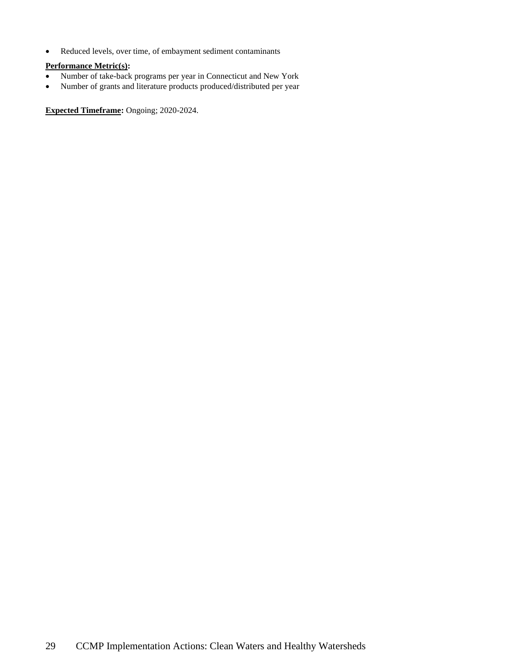• Reduced levels, over time, of embayment sediment contaminants

# **Performance Metric(s):**

- Number of take-back programs per year in Connecticut and New York
- Number of grants and literature products produced/distributed per year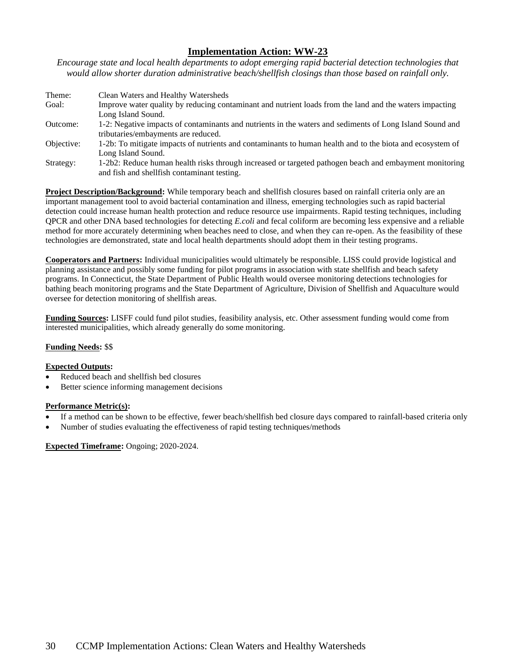*Encourage state and local health departments to adopt emerging rapid bacterial detection technologies that would allow shorter duration administrative beach/shellfish closings than those based on rainfall only.*

| Theme:     | Clean Waters and Healthy Watersheds                                                                       |
|------------|-----------------------------------------------------------------------------------------------------------|
| Goal:      | Improve water quality by reducing contaminant and nutrient loads from the land and the waters impacting   |
|            | Long Island Sound.                                                                                        |
| Outcome:   | 1-2: Negative impacts of contaminants and nutrients in the waters and sediments of Long Island Sound and  |
|            | tributaries/embayments are reduced.                                                                       |
| Objective: | 1-2b: To mitigate impacts of nutrients and contaminants to human health and to the biota and ecosystem of |
|            | Long Island Sound.                                                                                        |
| Strategy:  | 1-2b2: Reduce human health risks through increased or targeted pathogen beach and embayment monitoring    |
|            | and fish and shellfish contaminant testing.                                                               |

**Project Description/Background:** While temporary beach and shellfish closures based on rainfall criteria only are an important management tool to avoid bacterial contamination and illness, emerging technologies such as rapid bacterial detection could increase human health protection and reduce resource use impairments. Rapid testing techniques, including QPCR and other DNA based technologies for detecting *E.coli* and fecal coliform are becoming less expensive and a reliable method for more accurately determining when beaches need to close, and when they can re-open. As the feasibility of these technologies are demonstrated, state and local health departments should adopt them in their testing programs.

**Cooperators and Partners:** Individual municipalities would ultimately be responsible. LISS could provide logistical and planning assistance and possibly some funding for pilot programs in association with state shellfish and beach safety programs. In Connecticut, the State Department of Public Health would oversee monitoring detections technologies for bathing beach monitoring programs and the State Department of Agriculture, Division of Shellfish and Aquaculture would oversee for detection monitoring of shellfish areas.

**Funding Sources:** LISFF could fund pilot studies, feasibility analysis, etc. Other assessment funding would come from interested municipalities, which already generally do some monitoring.

# **Funding Needs:** \$\$

### **Expected Outputs:**

- Reduced beach and shellfish bed closures
- Better science informing management decisions

### **Performance Metric(s):**

- If a method can be shown to be effective, fewer beach/shellfish bed closure days compared to rainfall-based criteria only
- Number of studies evaluating the effectiveness of rapid testing techniques/methods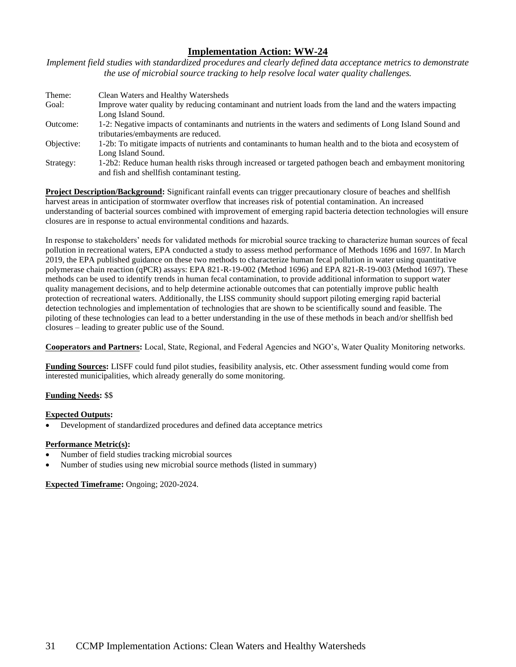*Implement field studies with standardized procedures and clearly defined data acceptance metrics to demonstrate the use of microbial source tracking to help resolve local water quality challenges.*

| Theme:     | Clean Waters and Healthy Watersheds                                                                                                                    |
|------------|--------------------------------------------------------------------------------------------------------------------------------------------------------|
| Goal:      | Improve water quality by reducing contaminant and nutrient loads from the land and the waters impacting<br>Long Island Sound.                          |
| Outcome:   | 1-2: Negative impacts of contaminants and nutrients in the waters and sediments of Long Island Sound and                                               |
|            | tributaries/embayments are reduced.                                                                                                                    |
| Objective: | 1-2b: To mitigate impacts of nutrients and contaminants to human health and to the biota and ecosystem of<br>Long Island Sound.                        |
| Strategy:  | 1-2b2: Reduce human health risks through increased or targeted pathogen beach and embayment monitoring<br>and fish and shell fish contaminant testing. |

**Project Description/Background:** Significant rainfall events can trigger precautionary closure of beaches and shellfish harvest areas in anticipation of stormwater overflow that increases risk of potential contamination. An increased understanding of bacterial sources combined with improvement of emerging rapid bacteria detection technologies will ensure closures are in response to actual environmental conditions and hazards.

In response to stakeholders' needs for validated methods for microbial source tracking to characterize human sources of fecal pollution in recreational waters, EPA conducted a study to assess method performance of Methods 1696 and 1697. In March 2019, the EPA published guidance on these two methods to characterize human fecal pollution in water using quantitative polymerase chain reaction (qPCR) assays: EPA 821-R-19-002 (Method 1696) and EPA 821-R-19-003 (Method 1697). These methods can be used to identify trends in human fecal contamination, to provide additional information to support water quality management decisions, and to help determine actionable outcomes that can potentially improve public health protection of recreational waters. Additionally, the LISS community should support piloting emerging rapid bacterial detection technologies and implementation of technologies that are shown to be scientifically sound and feasible. The piloting of these technologies can lead to a better understanding in the use of these methods in beach and/or shellfish bed closures – leading to greater public use of the Sound.

**Cooperators and Partners:** Local, State, Regional, and Federal Agencies and NGO's, Water Quality Monitoring networks.

**Funding Sources:** LISFF could fund pilot studies, feasibility analysis, etc. Other assessment funding would come from interested municipalities, which already generally do some monitoring.

# **Funding Needs:** \$\$

# **Expected Outputs:**

• Development of standardized procedures and defined data acceptance metrics

### **Performance Metric(s):**

- Number of field studies tracking microbial sources
- Number of studies using new microbial source methods (listed in summary)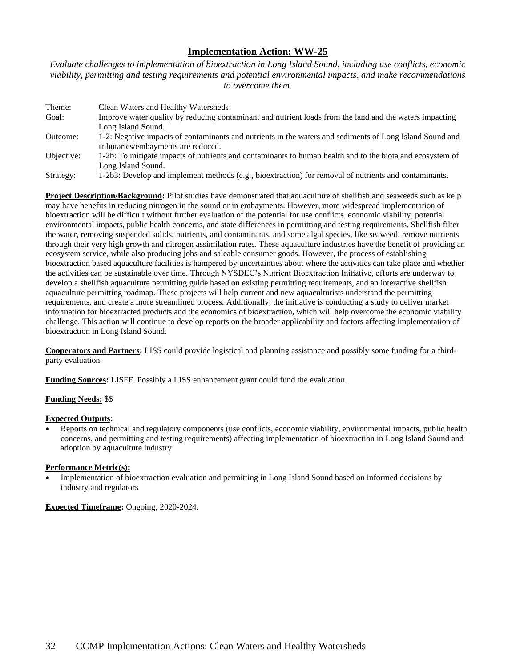*Evaluate challenges to implementation of bioextraction in Long Island Sound, including use conflicts, economic viability, permitting and testing requirements and potential environmental impacts, and make recommendations to overcome them.*

| Theme:     | Clean Waters and Healthy Watersheds                                                                       |
|------------|-----------------------------------------------------------------------------------------------------------|
| Goal:      | Improve water quality by reducing contaminant and nutrient loads from the land and the waters impacting   |
|            | Long Island Sound.                                                                                        |
| Outcome:   | 1-2: Negative impacts of contaminants and nutrients in the waters and sediments of Long Island Sound and  |
|            | tributaries/embayments are reduced.                                                                       |
| Objective: | 1-2b: To mitigate impacts of nutrients and contaminants to human health and to the biota and ecosystem of |
|            | Long Island Sound.                                                                                        |
| Strategy:  | 1-2b3: Develop and implement methods (e.g., bioextraction) for removal of nutrients and contaminants.     |

**Project Description/Background:** Pilot studies have demonstrated that aquaculture of shellfish and seaweeds such as kelp may have benefits in reducing nitrogen in the sound or in embayments. However, more widespread implementation of bioextraction will be difficult without further evaluation of the potential for use conflicts, economic viability, potential environmental impacts, public health concerns, and state differences in permitting and testing requirements. Shellfish filter the water, removing suspended solids, nutrients, and contaminants, and some algal species, like seaweed, remove nutrients through their very high growth and nitrogen assimilation rates. These aquaculture industries have the benefit of providing an ecosystem service, while also producing jobs and saleable consumer goods. However, the process of establishing bioextraction based aquaculture facilities is hampered by uncertainties about where the activities can take place and whether the activities can be sustainable over time. Through NYSDEC's Nutrient Bioextraction Initiative, efforts are underway to develop a shellfish aquaculture permitting guide based on existing permitting requirements, and an interactive shellfish aquaculture permitting roadmap. These projects will help current and new aquaculturists understand the permitting requirements, and create a more streamlined process. Additionally, the initiative is conducting a study to deliver market information for bioextracted products and the economics of bioextraction, which will help overcome the economic viability challenge. This action will continue to develop reports on the broader applicability and factors affecting implementation of bioextraction in Long Island Sound.

**Cooperators and Partners:** LISS could provide logistical and planning assistance and possibly some funding for a thirdparty evaluation.

**Funding Sources:** LISFF. Possibly a LISS enhancement grant could fund the evaluation.

### **Funding Needs:** \$\$

### **Expected Outputs:**

• Reports on technical and regulatory components (use conflicts, economic viability, environmental impacts, public health concerns, and permitting and testing requirements) affecting implementation of bioextraction in Long Island Sound and adoption by aquaculture industry

### **Performance Metric(s):**

• Implementation of bioextraction evaluation and permitting in Long Island Sound based on informed decisions by industry and regulators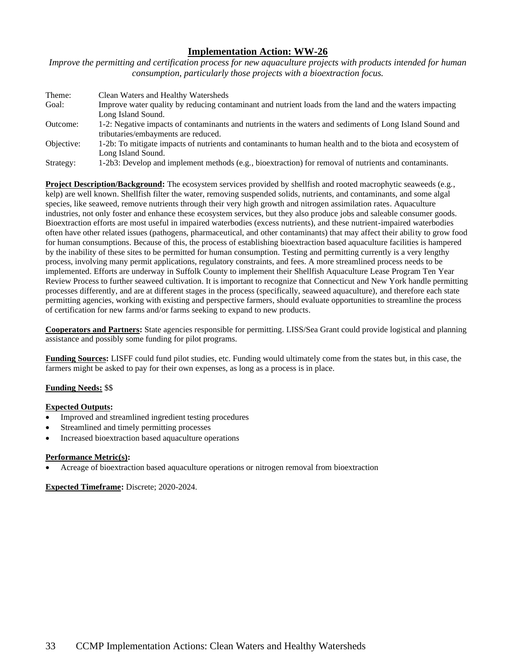*Improve the permitting and certification process for new aquaculture projects with products intended for human consumption, particularly those projects with a bioextraction focus.* 

| Theme:     | Clean Waters and Healthy Watersheds                                                                       |
|------------|-----------------------------------------------------------------------------------------------------------|
| Goal:      | Improve water quality by reducing contaminant and nutrient loads from the land and the waters impacting   |
|            | Long Island Sound.                                                                                        |
| Outcome:   | 1-2: Negative impacts of contaminants and nutrients in the waters and sediments of Long Island Sound and  |
|            | tributaries/embayments are reduced.                                                                       |
| Objective: | 1-2b: To mitigate impacts of nutrients and contaminants to human health and to the biota and ecosystem of |
|            | Long Island Sound.                                                                                        |
| Strategy:  | 1-2b3: Develop and implement methods (e.g., bioextraction) for removal of nutrients and contaminants.     |

**Project Description/Background:** The ecosystem services provided by shellfish and rooted macrophytic seaweeds (e.g., kelp) are well known. Shellfish filter the water, removing suspended solids, nutrients, and contaminants, and some algal species, like seaweed, remove nutrients through their very high growth and nitrogen assimilation rates. Aquaculture industries, not only foster and enhance these ecosystem services, but they also produce jobs and saleable consumer goods. Bioextraction efforts are most useful in impaired waterbodies (excess nutrients), and these nutrient-impaired waterbodies often have other related issues (pathogens, pharmaceutical, and other contaminants) that may affect their ability to grow food for human consumptions. Because of this, the process of establishing bioextraction based aquaculture facilities is hampered by the inability of these sites to be permitted for human consumption. Testing and [permitting](http://seagrant.uconn.edu/publications/aquaculture/permitguide.pdf) currently is a very lengthy process, involving many permit applications, regulatory constraints, and fees. A more streamlined process needs to be implemented. Efforts are underway in Suffolk County to implement their Shellfish Aquaculture Lease Program Ten Year Review Process to further seaweed cultivation. It is important to recognize that Connecticut and New York handle permitting processes differently, and are at different stages in the process (specifically, seaweed aquaculture), and therefore each state permitting agencies, working with existing and perspective farmers, should evaluate opportunities to streamline the process of certification for new farms and/or farms seeking to expand to new products.

**Cooperators and Partners:** State agencies responsible for permitting. LISS/Sea Grant could provide logistical and planning assistance and possibly some funding for pilot programs.

**Funding Sources:** LISFF could fund pilot studies, etc. Funding would ultimately come from the states but, in this case, the farmers might be asked to pay for their own expenses, as long as a process is in place.

# **Funding Needs:** \$\$

### **Expected Outputs:**

- Improved and streamlined ingredient testing procedures
- Streamlined and timely permitting processes
- Increased bioextraction based aquaculture operations

### **Performance Metric(s):**

• Acreage of bioextraction based aquaculture operations or nitrogen removal from bioextraction

**Expected Timeframe:** Discrete; 2020-2024.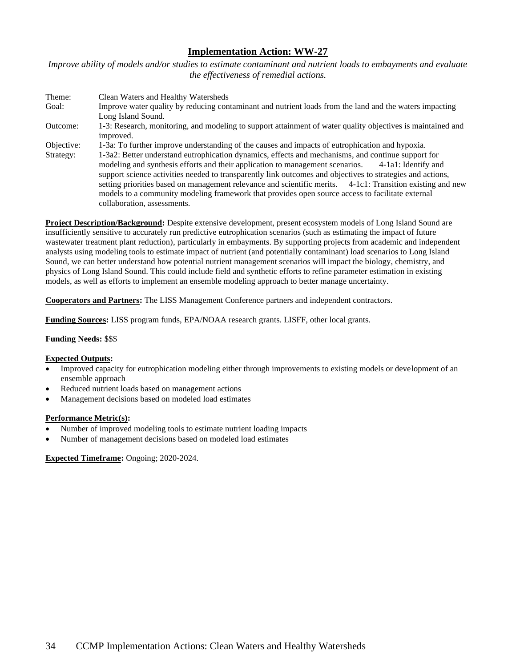*Improve ability of models and/or studies to estimate contaminant and nutrient loads to embayments and evaluate the effectiveness of remedial actions.*

Theme: Clean Waters and Healthy Watersheds Goal: Improve water quality by reducing contaminant and nutrient loads from the land and the waters impacting Long Island Sound. Outcome: 1-3: Research, monitoring, and modeling to support attainment of water quality objectives is maintained and improved. Objective: 1-3a: To further improve understanding of the causes and impacts of eutrophication and hypoxia. Strategy: 1-3a2: Better understand eutrophication dynamics, effects and mechanisms, and continue support for modeling and synthesis efforts and their application to management scenarios. 4-1a1: Identify and support science activities needed to transparently link outcomes and objectives to strategies and actions, setting priorities based on management relevance and scientific merits. 4-1c1: Transition existing and new models to a community modeling framework that provides open source access to facilitate external collaboration, assessments.

**Project Description/Background:** Despite extensive development, present ecosystem models of Long Island Sound are insufficiently sensitive to accurately run predictive eutrophication scenarios (such as estimating the impact of future wastewater treatment plant reduction), particularly in embayments. By supporting projects from academic and independent analysts using modeling tools to estimate impact of nutrient (and potentially contaminant) load scenarios to Long Island Sound, we can better understand how potential nutrient management scenarios will impact the biology, chemistry, and physics of Long Island Sound. This could include field and synthetic efforts to refine parameter estimation in existing models, as well as efforts to implement an ensemble modeling approach to better manage uncertainty.

**Cooperators and Partners:** The LISS Management Conference partners and independent contractors.

**Funding Sources:** LISS program funds, EPA/NOAA research grants. LISFF, other local grants.

### **Funding Needs:** \$\$\$

### **Expected Outputs:**

- Improved capacity for eutrophication modeling either through improvements to existing models or development of an ensemble approach
- Reduced nutrient loads based on management actions
- Management decisions based on modeled load estimates

### **Performance Metric(s):**

- Number of improved modeling tools to estimate nutrient loading impacts
- Number of management decisions based on modeled load estimates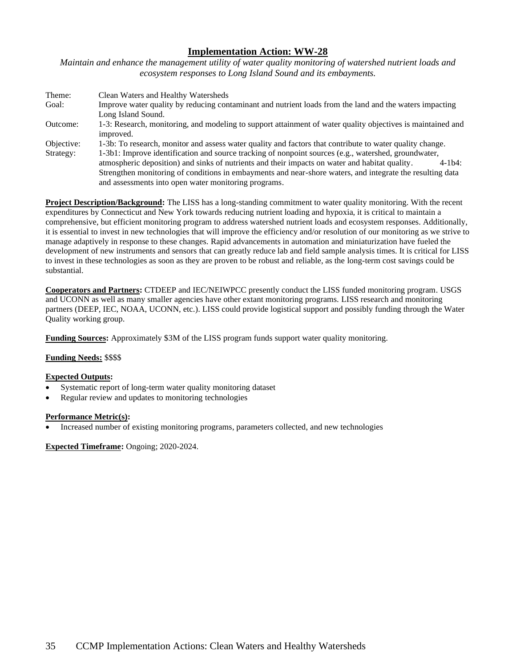*Maintain and enhance the management utility of water quality monitoring of watershed nutrient loads and ecosystem responses to Long Island Sound and its embayments.*

| Theme:     | Clean Waters and Healthy Watersheds                                                                         |
|------------|-------------------------------------------------------------------------------------------------------------|
| Goal:      | Improve water quality by reducing contaminant and nutrient loads from the land and the waters impacting     |
|            | Long Island Sound.                                                                                          |
| Outcome:   | 1-3: Research, monitoring, and modeling to support attainment of water quality objectives is maintained and |
|            | improved.                                                                                                   |
| Objective: | 1-3b: To research, monitor and assess water quality and factors that contribute to water quality change.    |
| Strategy:  | 1-3b1: Improve identification and source tracking of nonpoint sources (e.g., watershed, groundwater,        |
|            | atmospheric deposition) and sinks of nutrients and their impacts on water and habitat quality.<br>$4-1b4$ : |
|            | Strengthen monitoring of conditions in embayments and near-shore waters, and integrate the resulting data   |
|            | and assessments into open water monitoring programs.                                                        |

**Project Description/Background:** The LISS has a long-standing commitment to water quality monitoring. With the recent expenditures by Connecticut and New York towards reducing nutrient loading and hypoxia, it is critical to maintain a comprehensive, but efficient monitoring program to address watershed nutrient loads and ecosystem responses. Additionally, it is essential to invest in new technologies that will improve the efficiency and/or resolution of our monitoring as we strive to manage adaptively in response to these changes. Rapid advancements in automation and miniaturization have fueled the development of new instruments and sensors that can greatly reduce lab and field sample analysis times. It is critical for LISS to invest in these technologies as soon as they are proven to be robust and reliable, as the long-term cost savings could be substantial.

**Cooperators and Partners:** CTDEEP and IEC/NEIWPCC presently conduct the LISS funded monitoring program. USGS and UCONN as well as many smaller agencies have other extant monitoring programs. LISS research and monitoring partners (DEEP, IEC, NOAA, UCONN, etc.). LISS could provide logistical support and possibly funding through the Water Quality working group.

**Funding Sources:** Approximately \$3M of the LISS program funds support water quality monitoring.

# **Funding Needs:** \$\$\$\$

### **Expected Outputs:**

- Systematic report of long-term water quality monitoring dataset
- Regular review and updates to monitoring technologies

### **Performance Metric(s):**

• Increased number of existing monitoring programs, parameters collected, and new technologies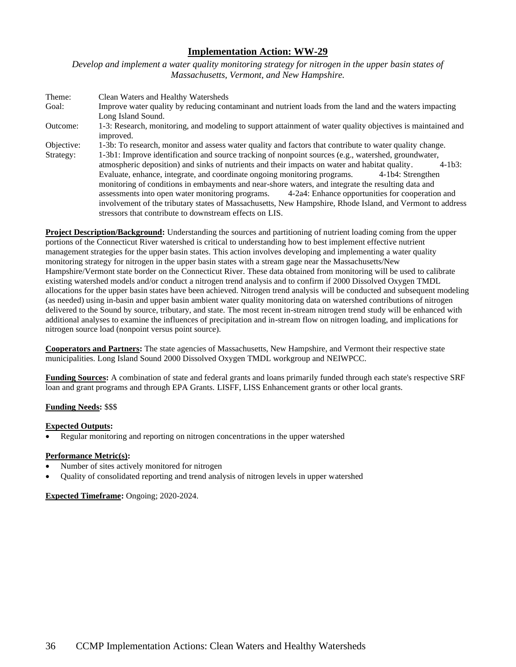*Develop and implement a water quality monitoring strategy for nitrogen in the upper basin states of Massachusetts, Vermont, and New Hampshire.*

Theme: Clean Waters and Healthy Watersheds Goal: Improve water quality by reducing contaminant and nutrient loads from the land and the waters impacting Long Island Sound. Outcome: 1-3: Research, monitoring, and modeling to support attainment of water quality objectives is maintained and improved. Objective: 1-3b: To research, monitor and assess water quality and factors that contribute to water quality change. Strategy: 1-3b1: Improve identification and source tracking of nonpoint sources (e.g., watershed, groundwater, atmospheric deposition) and sinks of nutrients and their impacts on water and habitat quality. 4-1b3: Evaluate, enhance, integrate, and coordinate ongoing monitoring programs. 4-1b4: Strengthen monitoring of conditions in embayments and near-shore waters, and integrate the resulting data and assessments into open water monitoring programs. 4-2a4: Enhance opportunities for cooperation and involvement of the tributary states of Massachusetts, New Hampshire, Rhode Island, and Vermont to address stressors that contribute to downstream effects on LIS.

**Project Description/Background:** Understanding the sources and partitioning of nutrient loading coming from the upper portions of the Connecticut River watershed is critical to understanding how to best implement effective nutrient management strategies for the upper basin states. This action involves developing and implementing a water quality monitoring strategy for nitrogen in the upper basin states with a stream gage near the Massachusetts/New Hampshire/Vermont state border on the Connecticut River. These data obtained from monitoring will be used to calibrate existing watershed models and/or conduct a nitrogen trend analysis and to confirm if 2000 Dissolved Oxygen TMDL allocations for the upper basin states have been achieved. Nitrogen trend analysis will be conducted and subsequent modeling (as needed) using in-basin and upper basin ambient water quality monitoring data on watershed contributions of nitrogen delivered to the Sound by source, tributary, and state. The most recent in-stream nitrogen trend study will be enhanced with additional analyses to examine the influences of precipitation and in-stream flow on nitrogen loading, and implications for nitrogen source load (nonpoint versus point source).

**Cooperators and Partners:** The state agencies of Massachusetts, New Hampshire, and Vermont their respective state municipalities. Long Island Sound 2000 Dissolved Oxygen TMDL workgroup and NEIWPCC.

**Funding Sources:** A combination of state and federal grants and loans primarily funded through each state's respective SRF loan and grant programs and through EPA Grants. LISFF, LISS Enhancement grants or other local grants.

# **Funding Needs:** \$\$\$

# **Expected Outputs:**

• Regular monitoring and reporting on nitrogen concentrations in the upper watershed

# **Performance Metric(s):**

- Number of sites actively monitored for nitrogen
- Quality of consolidated reporting and trend analysis of nitrogen levels in upper watershed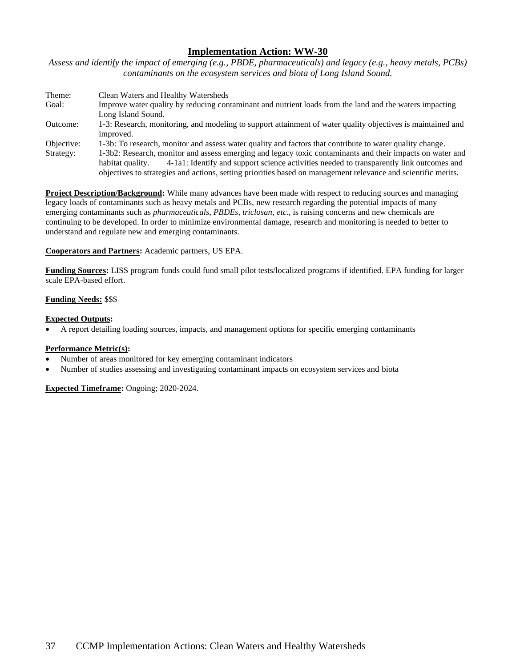*Assess and identify the impact of emerging (e.g., PBDE, pharmaceuticals) and legacy (e.g., heavy metals, PCBs) contaminants on the ecosystem services and biota of Long Island Sound.*

| Theme:     | Clean Waters and Healthy Watersheds                                                                           |
|------------|---------------------------------------------------------------------------------------------------------------|
| Goal:      | Improve water quality by reducing contaminant and nutrient loads from the land and the waters impacting       |
|            | Long Island Sound.                                                                                            |
| Outcome:   | 1-3: Research, monitoring, and modeling to support attainment of water quality objectives is maintained and   |
|            | improved.                                                                                                     |
| Objective: | 1-3b: To research, monitor and assess water quality and factors that contribute to water quality change.      |
| Strategy:  | 1-3b2: Research, monitor and assess emerging and legacy toxic contaminants and their impacts on water and     |
|            | 4-1a1: Identify and support science activities needed to transparently link outcomes and<br>habitat quality.  |
|            | objectives to strategies and actions, setting priorities based on management relevance and scientific merits. |

**Project Description/Background:** While many advances have been made with respect to reducing sources and managing legacy loads of contaminants such as heavy metals and PCBs, new research regarding the potential impacts of many emerging contaminants such as *pharmaceuticals, PBDEs, triclosan, etc.,* is raising concerns and new chemicals are continuing to be developed. In order to minimize environmental damage, research and monitoring is needed to better to understand and regulate new and emerging contaminants.

### **Cooperators and Partners:** Academic partners, US EPA.

**Funding Sources:** LISS program funds could fund small pilot tests/localized programs if identified. EPA funding for larger scale EPA-based effort.

### **Funding Needs:** \$\$\$

### **Expected Outputs:**

• A report detailing loading sources, impacts, and management options for specific emerging contaminants

### **Performance Metric(s):**

- Number of areas monitored for key emerging contaminant indicators
- Number of studies assessing and investigating contaminant impacts on ecosystem services and biota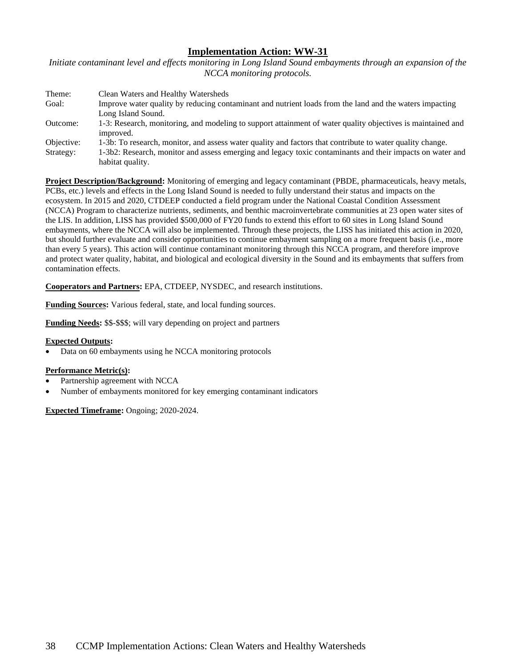*Initiate contaminant level and effects monitoring in Long Island Sound embayments through an expansion of the NCCA monitoring protocols.*

| Theme:     | Clean Waters and Healthy Watersheds                                                                         |
|------------|-------------------------------------------------------------------------------------------------------------|
| Goal:      | Improve water quality by reducing contaminant and nutrient loads from the land and the waters impacting     |
|            | Long Island Sound.                                                                                          |
| Outcome:   | 1-3: Research, monitoring, and modeling to support attainment of water quality objectives is maintained and |
|            | improved.                                                                                                   |
| Objective: | 1-3b: To research, monitor, and assess water quality and factors that contribute to water quality change.   |
| Strategy:  | 1-3b2: Research, monitor and assess emerging and legacy toxic contaminants and their impacts on water and   |
|            | habitat quality.                                                                                            |

**Project Description/Background:** Monitoring of emerging and legacy contaminant (PBDE, pharmaceuticals, heavy metals, PCBs, etc.) levels and effects in the Long Island Sound is needed to fully understand their status and impacts on the ecosystem. In 2015 and 2020, CTDEEP conducted a field program under the National Coastal Condition Assessment (NCCA) Program to characterize nutrients, sediments, and benthic macroinvertebrate communities at 23 open water sites of the LIS. In addition, LISS has provided \$500,000 of FY20 funds to extend this effort to 60 sites in Long Island Sound embayments, where the NCCA will also be implemented. Through these projects, the LISS has initiated this action in 2020, but should further evaluate and consider opportunities to continue embayment sampling on a more frequent basis (i.e., more than every 5 years). This action will continue contaminant monitoring through this NCCA program, and therefore improve and protect water quality, habitat, and biological and ecological diversity in the Sound and its embayments that suffers from contamination effects.

**Cooperators and Partners:** EPA, CTDEEP, NYSDEC, and research institutions.

**Funding Sources:** Various federal, state, and local funding sources.

**Funding Needs:** \$\$-\$\$\$; will vary depending on project and partners

### **Expected Outputs:**

• Data on 60 embayments using he NCCA monitoring protocols

### **Performance Metric(s):**

- Partnership agreement with NCCA
- Number of embayments monitored for key emerging contaminant indicators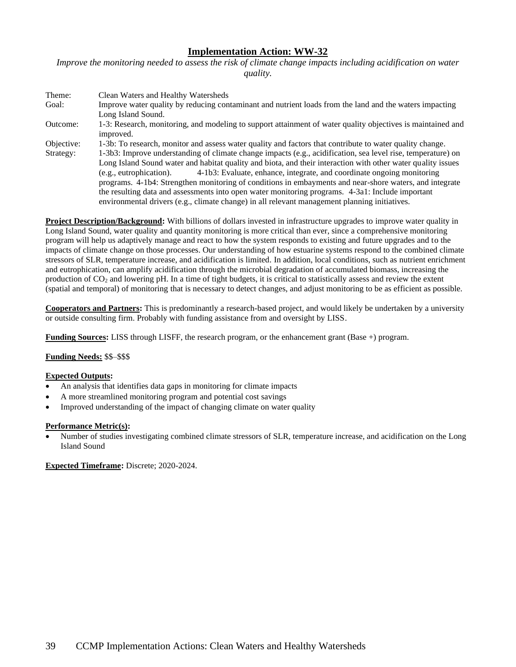*Improve the monitoring needed to assess the risk of climate change impacts including acidification on water quality.* 

| Theme:     | Clean Waters and Healthy Watersheds                                                                          |
|------------|--------------------------------------------------------------------------------------------------------------|
| Goal:      | Improve water quality by reducing contaminant and nutrient loads from the land and the waters impacting      |
|            | Long Island Sound.                                                                                           |
| Outcome:   | 1-3: Research, monitoring, and modeling to support attainment of water quality objectives is maintained and  |
|            | improved.                                                                                                    |
| Objective: | 1-3b: To research, monitor and assess water quality and factors that contribute to water quality change.     |
| Strategy:  | 1-3b3: Improve understanding of climate change impacts (e.g., acidification, sea level rise, temperature) on |
|            | Long Island Sound water and habitat quality and biota, and their interaction with other water quality issues |
|            | 4-1b3: Evaluate, enhance, integrate, and coordinate ongoing monitoring<br>(e.g., eutrophication).            |
|            | programs. 4-1b4: Strengthen monitoring of conditions in embayments and near-shore waters, and integrate      |
|            | the resulting data and assessments into open water monitoring programs. 4-3a1: Include important             |
|            | environmental drivers (e.g., climate change) in all relevant management planning initiatives.                |

**Project Description/Background:** With billions of dollars invested in infrastructure upgrades to improve water quality in Long Island Sound, water quality and quantity monitoring is more critical than ever, since a comprehensive monitoring program will help us adaptively manage and react to how the system responds to existing and future upgrades and to the impacts of climate change on those processes. Our understanding of how estuarine systems respond to the combined climate stressors of SLR, temperature increase, and acidification is limited. In addition, local conditions, such as nutrient enrichment and eutrophication, can amplify acidification through the microbial degradation of accumulated biomass, increasing the production of CO<sup>2</sup> and lowering pH. In a time of tight budgets, it is critical to statistically assess and review the extent (spatial and temporal) of monitoring that is necessary to detect changes, and adjust monitoring to be as efficient as possible.

**Cooperators and Partners:** This is predominantly a research-based project, and would likely be undertaken by a university or outside consulting firm. Probably with funding assistance from and oversight by LISS.

**Funding Sources:** LISS through LISFF, the research program, or the enhancement grant (Base +) program.

# **Funding Needs:** \$\$–\$\$\$

### **Expected Outputs:**

- An analysis that identifies data gaps in monitoring for climate impacts
- A more streamlined monitoring program and potential cost savings
- Improved understanding of the impact of changing climate on water quality

### **Performance Metric(s):**

• Number of studies investigating combined climate stressors of SLR, temperature increase, and acidification on the Long Island Sound

**Expected Timeframe:** Discrete; 2020-2024.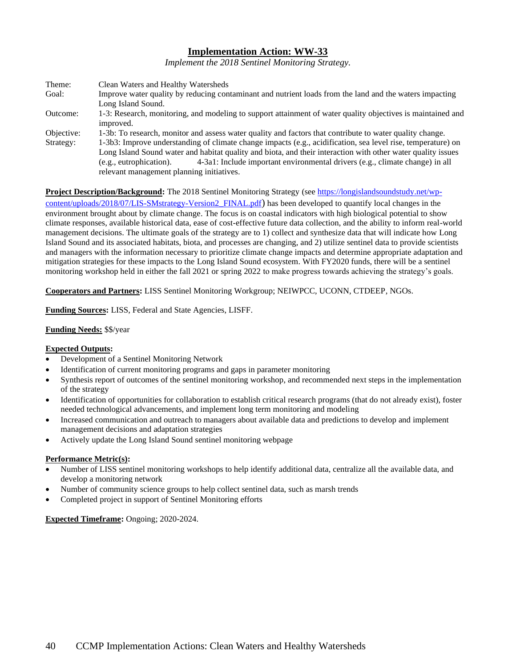*Implement the 2018 Sentinel Monitoring Strategy.*

| Theme:     | Clean Waters and Healthy Watersheds                                                                          |
|------------|--------------------------------------------------------------------------------------------------------------|
| Goal:      | Improve water quality by reducing contaminant and nutrient loads from the land and the waters impacting      |
|            | Long Island Sound.                                                                                           |
| Outcome:   | 1-3: Research, monitoring, and modeling to support attainment of water quality objectives is maintained and  |
|            | improved.                                                                                                    |
| Objective: | 1-3b: To research, monitor and assess water quality and factors that contribute to water quality change.     |
| Strategy:  | 1-3b3: Improve understanding of climate change impacts (e.g., acidification, sea level rise, temperature) on |
|            | Long Island Sound water and habitat quality and biota, and their interaction with other water quality issues |
|            | 4-3a1: Include important environmental drivers (e.g., climate change) in all<br>(e.g., eutrophication).      |
|            | relevant management planning initiatives.                                                                    |

**Project Description/Background:** The 2018 Sentinel Monitoring Strategy (se[e https://longislandsoundstudy.net/wp-](https://longislandsoundstudy.net/wp-content/uploads/2018/07/LIS-SMstrategy-Version2_FINAL.pdf)

[content/uploads/2018/07/LIS-SMstrategy-Version2\\_FINAL.pdf](https://longislandsoundstudy.net/wp-content/uploads/2018/07/LIS-SMstrategy-Version2_FINAL.pdf)) has been developed to quantify local changes in the environment brought about by climate change. The focus is on coastal indicators with high biological potential to show climate responses, available historical data, ease of cost-effective future data collection, and the ability to inform real-world management decisions. The ultimate goals of the strategy are to 1) collect and synthesize data that will indicate how Long Island Sound and its associated habitats, biota, and processes are changing, and 2) utilize sentinel data to provide scientists and managers with the information necessary to prioritize climate change impacts and determine appropriate adaptation and mitigation strategies for these impacts to the Long Island Sound ecosystem. With FY2020 funds, there will be a sentinel monitoring workshop held in either the fall 2021 or spring 2022 to make progress towards achieving the strategy's goals.

**Cooperators and Partners:** LISS Sentinel Monitoring Workgroup; NEIWPCC, UCONN, CTDEEP, NGOs.

**Funding Sources:** LISS, Federal and State Agencies, LISFF.

### **Funding Needs:** \$\$/year

### **Expected Outputs:**

- Development of a Sentinel Monitoring Network
- Identification of current monitoring programs and gaps in parameter monitoring
- Synthesis report of outcomes of the sentinel monitoring workshop, and recommended next steps in the implementation of the strategy
- Identification of opportunities for collaboration to establish critical research programs (that do not already exist), foster needed technological advancements, and implement long term monitoring and modeling
- Increased communication and outreach to managers about available data and predictions to develop and implement management decisions and adaptation strategies
- Actively update the Long Island Sound sentinel monitoring webpage

### **Performance Metric(s):**

- Number of LISS sentinel monitoring workshops to help identify additional data, centralize all the available data, and develop a monitoring network
- Number of community science groups to help collect sentinel data, such as marsh trends
- Completed project in support of Sentinel Monitoring efforts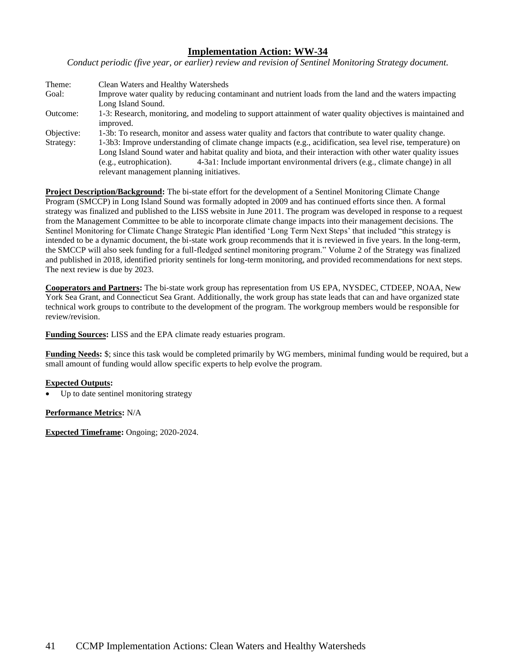*Conduct periodic (five year, or earlier) review and revision of Sentinel Monitoring Strategy document.*

| Theme:     | Clean Waters and Healthy Watersheds                                                                          |
|------------|--------------------------------------------------------------------------------------------------------------|
| Goal:      | Improve water quality by reducing contaminant and nutrient loads from the land and the waters impacting      |
|            | Long Island Sound.                                                                                           |
| Outcome:   | 1-3: Research, monitoring, and modeling to support attainment of water quality objectives is maintained and  |
|            | improved.                                                                                                    |
| Objective: | 1-3b: To research, monitor and assess water quality and factors that contribute to water quality change.     |
| Strategy:  | 1-3b3: Improve understanding of climate change impacts (e.g., acidification, sea level rise, temperature) on |
|            | Long Island Sound water and habitat quality and biota, and their interaction with other water quality issues |
|            | 4-3a1: Include important environmental drivers (e.g., climate change) in all<br>(e.g., eutrophication).      |
|            | relevant management planning initiatives.                                                                    |

**Project Description/Background:** The bi-state effort for the development of a Sentinel Monitoring Climate Change Program (SMCCP) in Long Island Sound was formally adopted in 2009 and has continued efforts since then. A formal strategy was finalized and published to the LISS website in June 2011. The program was developed in response to a request from the Management Committee to be able to incorporate climate change impacts into their management decisions. The Sentinel Monitoring for Climate Change Strategic Plan identified 'Long Term Next Steps' that included "this strategy is intended to be a dynamic document, the bi-state work group recommends that it is reviewed in five years. In the long-term, the SMCCP will also seek funding for a full-fledged sentinel monitoring program." Volume 2 of the Strategy was finalized and published in 2018, identified priority sentinels for long-term monitoring, and provided recommendations for next steps. The next review is due by 2023.

**Cooperators and Partners:** The bi-state work group has representation from US EPA, NYSDEC, CTDEEP, NOAA, New York Sea Grant, and Connecticut Sea Grant. Additionally, the work group has state leads that can and have organized state technical work groups to contribute to the development of the program. The workgroup members would be responsible for review/revision.

**Funding Sources:** LISS and the EPA climate ready estuaries program.

**Funding Needs:** \$; since this task would be completed primarily by WG members, minimal funding would be required, but a small amount of funding would allow specific experts to help evolve the program.

### **Expected Outputs:**

Up to date sentinel monitoring strategy

**Performance Metrics:** N/A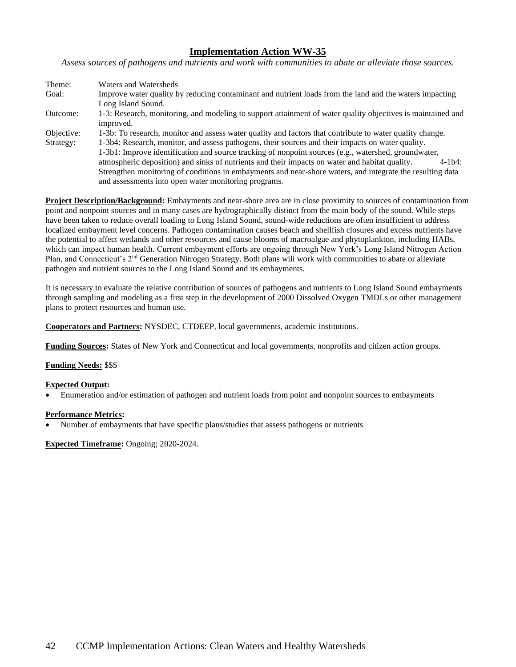*Assess sources of pathogens and nutrients and work with communities to abate or alleviate those sources.*

| Theme:     | Waters and Watersheds                                                                                                    |
|------------|--------------------------------------------------------------------------------------------------------------------------|
| Goal:      | Improve water quality by reducing contaminant and nutrient loads from the land and the waters impacting                  |
|            | Long Island Sound.                                                                                                       |
| Outcome:   | 1-3: Research, monitoring, and modeling to support attainment of water quality objectives is maintained and<br>improved. |
| Objective: | 1-3b: To research, monitor and assess water quality and factors that contribute to water quality change.                 |
| Strategy:  | 1-3b4: Research, monitor, and assess pathogens, their sources and their impacts on water quality.                        |
|            | 1-3b1: Improve identification and source tracking of nonpoint sources (e.g., watershed, groundwater,                     |
|            | atmospheric deposition) and sinks of nutrients and their impacts on water and habitat quality.<br>$4-1b4$ :              |
|            | Strengthen monitoring of conditions in embayments and near-shore waters, and integrate the resulting data                |
|            | and assessments into open water monitoring programs.                                                                     |

**Project Description/Background:** Embayments and near-shore area are in close proximity to sources of contamination from point and nonpoint sources and in many cases are hydrographically distinct from the main body of the sound. While steps have been taken to reduce overall loading to Long Island Sound, sound-wide reductions are often insufficient to address localized embayment level concerns. Pathogen contamination causes beach and shellfish closures and excess nutrients have the potential to affect wetlands and other resources and cause blooms of macroalgae and phytoplankton, including HABs, which can impact human health. Current embayment efforts are ongoing through New York's Long Island Nitrogen Action Plan, and Connecticut's 2nd Generation Nitrogen Strategy. Both plans will work with communities to abate or alleviate pathogen and nutrient sources to the Long Island Sound and its embayments.

It is necessary to evaluate the relative contribution of sources of pathogens and nutrients to Long Island Sound embayments through sampling and modeling as a first step in the development of 2000 Dissolved Oxygen TMDLs or other management plans to protect resources and human use.

**Cooperators and Partners:** NYSDEC, CTDEEP, local governments, academic institutions.

**Funding Sources:** States of New York and Connecticut and local governments, nonprofits and citizen action groups.

**Funding Needs:** \$\$\$

### **Expected Output:**

• Enumeration and/or estimation of pathogen and nutrient loads from point and nonpoint sources to embayments

# **Performance Metrics:**

• Number of embayments that have specific plans/studies that assess pathogens or nutrients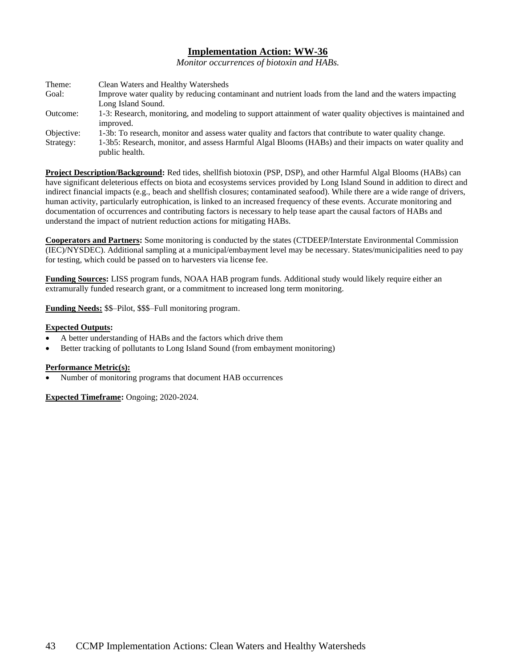*Monitor occurrences of biotoxin and HABs.*

| Theme:     | Clean Waters and Healthy Watersheds                                                                         |
|------------|-------------------------------------------------------------------------------------------------------------|
| Goal:      | Improve water quality by reducing contaminant and nutrient loads from the land and the waters impacting     |
|            | Long Island Sound.                                                                                          |
| Outcome:   | 1-3: Research, monitoring, and modeling to support attainment of water quality objectives is maintained and |
|            | improved.                                                                                                   |
| Objective: | 1-3b: To research, monitor and assess water quality and factors that contribute to water quality change.    |
| Strategy:  | 1-3b5: Research, monitor, and assess Harmful Algal Blooms (HABs) and their impacts on water quality and     |
|            | public health.                                                                                              |

**Project Description/Background:** Red tides, shellfish biotoxin (PSP, DSP), and other Harmful Algal Blooms (HABs) can have significant deleterious effects on biota and ecosystems services provided by Long Island Sound in addition to direct and indirect financial impacts (e.g., beach and shellfish closures; contaminated seafood). While there are a wide range of drivers, human activity, particularly eutrophication, is linked to an increased frequency of these events. Accurate monitoring and documentation of occurrences and contributing factors is necessary to help tease apart the causal factors of HABs and understand the impact of nutrient reduction actions for mitigating HABs.

**Cooperators and Partners:** Some monitoring is conducted by the states (CTDEEP/Interstate Environmental Commission (IEC)/NYSDEC). Additional sampling at a municipal/embayment level may be necessary. States/municipalities need to pay for testing, which could be passed on to harvesters via license fee.

**Funding Sources:** LISS program funds, NOAA HAB program funds. Additional study would likely require either an extramurally funded research grant, or a commitment to increased long term monitoring.

**Funding Needs:** \$\$–Pilot, \$\$\$–Full monitoring program.

### **Expected Outputs:**

- A better understanding of HABs and the factors which drive them
- Better tracking of pollutants to Long Island Sound (from embayment monitoring)

### **Performance Metric(s):**

• Number of monitoring programs that document HAB occurrences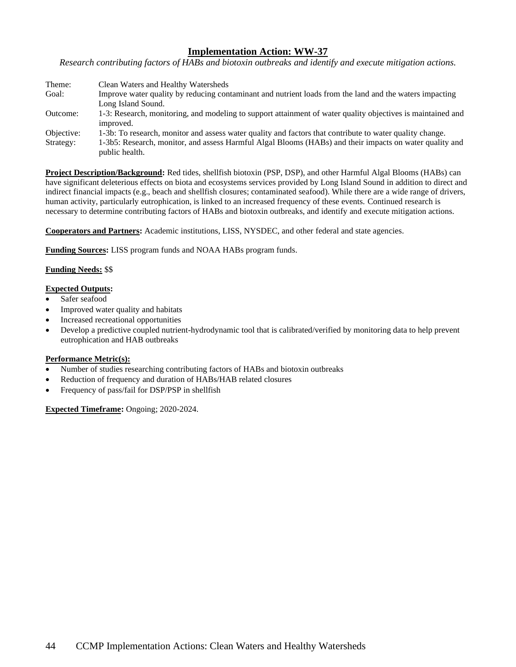*Research contributing factors of HABs and biotoxin outbreaks and identify and execute mitigation actions.*

| Theme:     | Clean Waters and Healthy Watersheds                                                                         |
|------------|-------------------------------------------------------------------------------------------------------------|
| Goal:      | Improve water quality by reducing contaminant and nutrient loads from the land and the waters impacting     |
|            | Long Island Sound.                                                                                          |
| Outcome:   | 1-3: Research, monitoring, and modeling to support attainment of water quality objectives is maintained and |
|            | improved.                                                                                                   |
| Objective: | 1-3b: To research, monitor and assess water quality and factors that contribute to water quality change.    |
| Strategy:  | 1-3b5: Research, monitor, and assess Harmful Algal Blooms (HABs) and their impacts on water quality and     |
|            | public health.                                                                                              |

**Project Description/Background:** Red tides, shellfish biotoxin (PSP, DSP), and other Harmful Algal Blooms (HABs) can have significant deleterious effects on biota and ecosystems services provided by Long Island Sound in addition to direct and indirect financial impacts (e.g., beach and shellfish closures; contaminated seafood). While there are a wide range of drivers, human activity, particularly eutrophication, is linked to an increased frequency of these events. Continued research is necessary to determine contributing factors of HABs and biotoxin outbreaks, and identify and execute mitigation actions.

**Cooperators and Partners:** Academic institutions, LISS, NYSDEC, and other federal and state agencies.

**Funding Sources:** LISS program funds and NOAA HABs program funds.

# **Funding Needs:** \$\$

#### **Expected Outputs:**

- Safer seafood
- Improved water quality and habitats
- Increased recreational opportunities
- Develop a predictive coupled nutrient-hydrodynamic tool that is calibrated/verified by monitoring data to help prevent eutrophication and HAB outbreaks

### **Performance Metric(s):**

- Number of studies researching contributing factors of HABs and biotoxin outbreaks
- Reduction of frequency and duration of HABs/HAB related closures
- Frequency of pass/fail for DSP/PSP in shellfish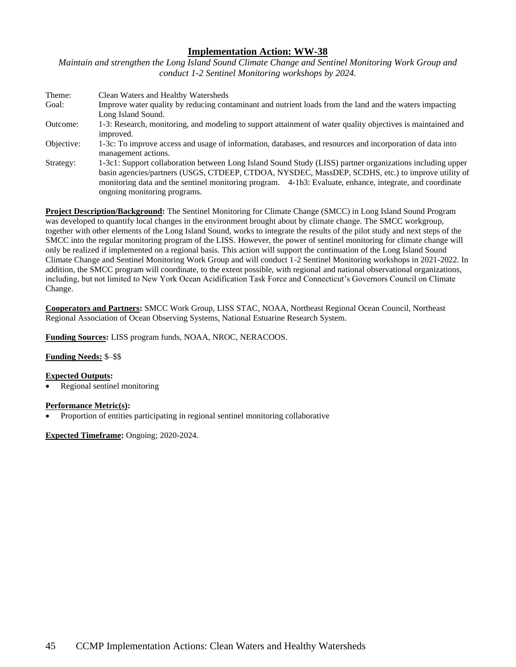*Maintain and strengthen the Long Island Sound Climate Change and Sentinel Monitoring Work Group and conduct 1-2 Sentinel Monitoring workshops by 2024.*

| Theme:     | Clean Waters and Healthy Watersheds                                                                         |
|------------|-------------------------------------------------------------------------------------------------------------|
| Goal:      | Improve water quality by reducing contaminant and nutrient loads from the land and the waters impacting     |
|            | Long Island Sound.                                                                                          |
| Outcome:   | 1-3: Research, monitoring, and modeling to support attainment of water quality objectives is maintained and |
|            | improved.                                                                                                   |
| Objective: | 1-3c: To improve access and usage of information, databases, and resources and incorporation of data into   |
|            | management actions.                                                                                         |
| Strategy:  | 1-3c1: Support collaboration between Long Island Sound Study (LISS) partner organizations including upper   |
|            | basin agencies/partners (USGS, CTDEEP, CTDOA, NYSDEC, MassDEP, SCDHS, etc.) to improve utility of           |
|            | monitoring data and the sentinel monitoring program. 4-1b3: Evaluate, enhance, integrate, and coordinate    |
|            | ongoing monitoring programs.                                                                                |

**Project Description/Background:** The Sentinel Monitoring for Climate Change (SMCC) in Long Island Sound Program was developed to quantify local changes in the environment brought about by climate change. The SMCC workgroup, together with other elements of the Long Island Sound, works to integrate the results of the pilot study and next steps of the SMCC into the regular monitoring program of the LISS. However, the power of sentinel monitoring for climate change will only be realized if implemented on a regional basis. This action will support the continuation of the Long Island Sound Climate Change and Sentinel Monitoring Work Group and will conduct 1-2 Sentinel Monitoring workshops in 2021-2022. In addition, the SMCC program will coordinate, to the extent possible, with regional and national observational organizations, including, but not limited to New York Ocean Acidification Task Force and Connecticut's Governors Council on Climate Change.

**Cooperators and Partners:** SMCC Work Group, LISS STAC, NOAA, Northeast Regional Ocean Council, Northeast Regional Association of Ocean Observing Systems, National Estuarine Research System.

**Funding Sources:** LISS program funds, NOAA, NROC, NERACOOS.

# **Funding Needs:** \$–\$\$

### **Expected Outputs:**

• Regional sentinel monitoring

### **Performance Metric(s):**

• Proportion of entities participating in regional sentinel monitoring collaborative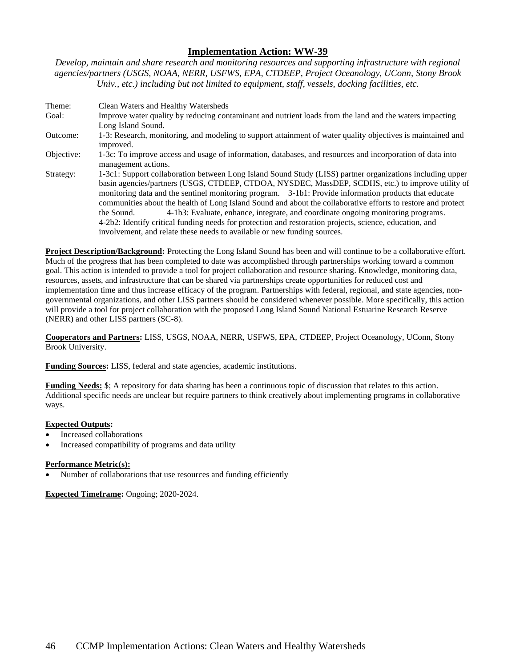*Develop, maintain and share research and monitoring resources and supporting infrastructure with regional agencies/partners (USGS, NOAA, NERR, USFWS, EPA, CTDEEP, Project Oceanology, UConn, Stony Brook Univ., etc.) including but not limited to equipment, staff, vessels, docking facilities, etc.*

Theme: Clean Waters and Healthy Watersheds Goal: Improve water quality by reducing contaminant and nutrient loads from the land and the waters impacting Long Island Sound. Outcome: 1-3: Research, monitoring, and modeling to support attainment of water quality objectives is maintained and improved. Objective: 1-3c: To improve access and usage of information, databases, and resources and incorporation of data into management actions. Strategy: 1-3c1: Support collaboration between Long Island Sound Study (LISS) partner organizations including upper basin agencies/partners (USGS, CTDEEP, CTDOA, NYSDEC, MassDEP, SCDHS, etc.) to improve utility of monitoring data and the sentinel monitoring program. 3-1b1: Provide information products that educate communities about the health of Long Island Sound and about the collaborative efforts to restore and protect the Sound. 4-1b3: Evaluate, enhance, integrate, and coordinate ongoing monitoring programs. 4-2b2: Identify critical funding needs for protection and restoration projects, science, education, and involvement, and relate these needs to available or new funding sources.

**Project Description/Background:** Protecting the Long Island Sound has been and will continue to be a collaborative effort. Much of the progress that has been completed to date was accomplished through partnerships working toward a common goal. This action is intended to provide a tool for project collaboration and resource sharing. Knowledge, monitoring data, resources, assets, and infrastructure that can be shared via partnerships create opportunities for reduced cost and implementation time and thus increase efficacy of the program. Partnerships with federal, regional, and state agencies, nongovernmental organizations, and other LISS partners should be considered whenever possible. More specifically, this action will provide a tool for project collaboration with the proposed Long Island Sound National Estuarine Research Reserve (NERR) and other LISS partners (SC-8).

**Cooperators and Partners:** LISS, USGS, NOAA, NERR, USFWS, EPA, CTDEEP, Project Oceanology, UConn, Stony Brook University.

**Funding Sources:** LISS, federal and state agencies, academic institutions.

**Funding Needs:** \$; A repository for data sharing has been a continuous topic of discussion that relates to this action. Additional specific needs are unclear but require partners to think creatively about implementing programs in collaborative ways.

# **Expected Outputs:**

- Increased collaborations
- Increased compatibility of programs and data utility

### **Performance Metric(s):**

Number of collaborations that use resources and funding efficiently